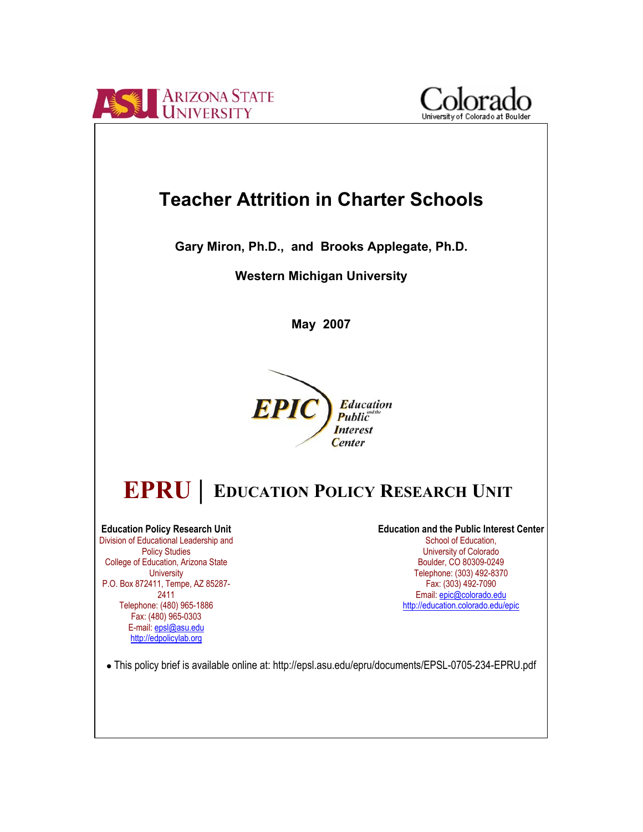



**Gary Miron, Ph.D., and Brooks Applegate, Ph.D.** 

**Western Michigan University** 

**May 2007**



# **EDUCATION POLICY RESEARCH UNIT EPRU |**

**Education Policy Research Unit**  Division of Educational Leadership and Policy Studies College of Education, Arizona State **University** P.O. Box 872411, Tempe, AZ 85287- 2411 Telephone: (480) 965-1886 Fax: (480) 965-0303 E-mail: epsl@asu.edu http://edpolicylab.org

**Education and the Public Interest Center**  School of Education, University of Colorado Boulder, CO 80309-0249 Telephone: (303) 492-8370 Fax: (303) 492-7090 Email: epic@colorado.edu http://education.colorado.edu/epic

● This policy brief is available online at: http://epsl.asu.edu/epru/documents/EPSL-0705-234-EPRU.pdf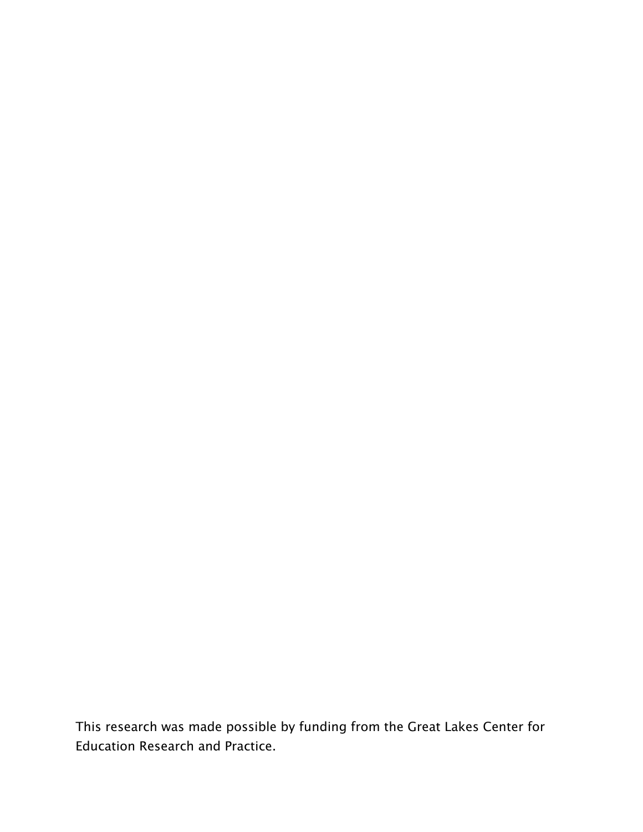This research was made possible by funding from the Great Lakes Center for Education Research and Practice.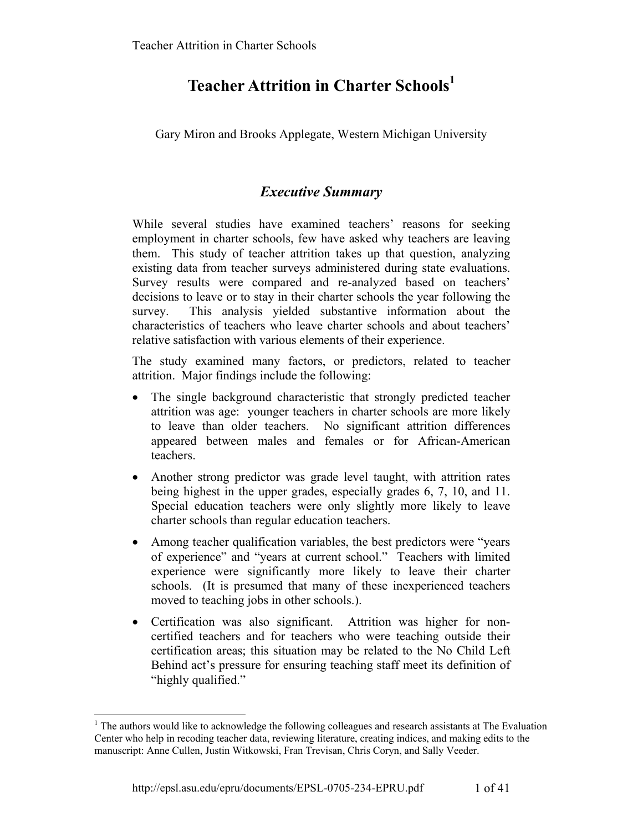# **Teacher Attrition in Charter Schools<sup>1</sup>**

Gary Miron and Brooks Applegate, Western Michigan University

# *Executive Summary*

While several studies have examined teachers' reasons for seeking employment in charter schools, few have asked why teachers are leaving them. This study of teacher attrition takes up that question, analyzing existing data from teacher surveys administered during state evaluations. Survey results were compared and re-analyzed based on teachers' decisions to leave or to stay in their charter schools the year following the survey. This analysis yielded substantive information about the characteristics of teachers who leave charter schools and about teachers' relative satisfaction with various elements of their experience.

The study examined many factors, or predictors, related to teacher attrition. Major findings include the following:

- The single background characteristic that strongly predicted teacher attrition was age: younger teachers in charter schools are more likely to leave than older teachers. No significant attrition differences appeared between males and females or for African-American teachers.
- Another strong predictor was grade level taught, with attrition rates being highest in the upper grades, especially grades 6, 7, 10, and 11. Special education teachers were only slightly more likely to leave charter schools than regular education teachers.
- Among teacher qualification variables, the best predictors were "years" of experience" and "years at current school." Teachers with limited experience were significantly more likely to leave their charter schools. (It is presumed that many of these inexperienced teachers moved to teaching jobs in other schools.).
- Certification was also significant. Attrition was higher for noncertified teachers and for teachers who were teaching outside their certification areas; this situation may be related to the No Child Left Behind act's pressure for ensuring teaching staff meet its definition of "highly qualified."

1

<sup>&</sup>lt;sup>1</sup> The authors would like to acknowledge the following colleagues and research assistants at The Evaluation Center who help in recoding teacher data, reviewing literature, creating indices, and making edits to the manuscript: Anne Cullen, Justin Witkowski, Fran Trevisan, Chris Coryn, and Sally Veeder.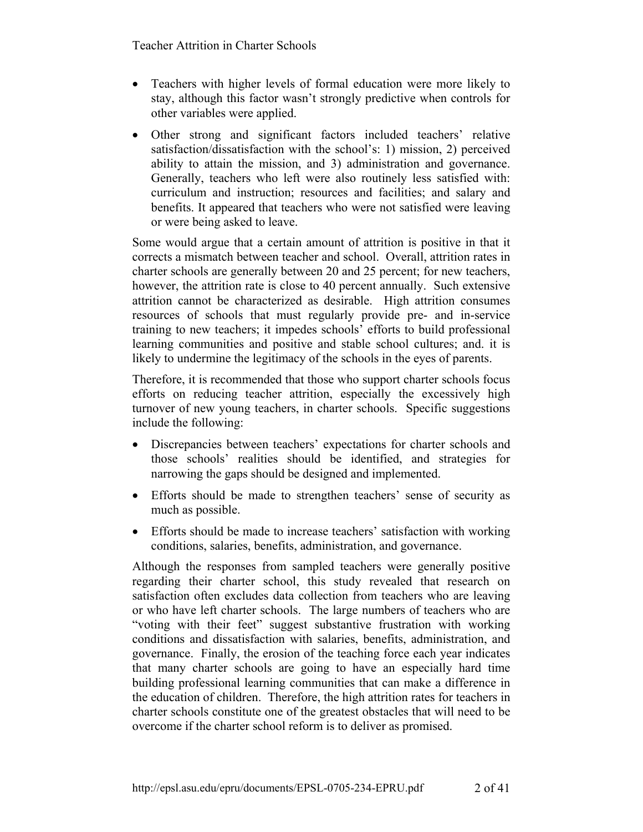- Teachers with higher levels of formal education were more likely to stay, although this factor wasn't strongly predictive when controls for other variables were applied.
- Other strong and significant factors included teachers' relative satisfaction/dissatisfaction with the school's: 1) mission, 2) perceived ability to attain the mission, and 3) administration and governance. Generally, teachers who left were also routinely less satisfied with: curriculum and instruction; resources and facilities; and salary and benefits. It appeared that teachers who were not satisfied were leaving or were being asked to leave.

Some would argue that a certain amount of attrition is positive in that it corrects a mismatch between teacher and school. Overall, attrition rates in charter schools are generally between 20 and 25 percent; for new teachers, however, the attrition rate is close to 40 percent annually. Such extensive attrition cannot be characterized as desirable. High attrition consumes resources of schools that must regularly provide pre- and in-service training to new teachers; it impedes schools' efforts to build professional learning communities and positive and stable school cultures; and. it is likely to undermine the legitimacy of the schools in the eyes of parents.

Therefore, it is recommended that those who support charter schools focus efforts on reducing teacher attrition, especially the excessively high turnover of new young teachers, in charter schools. Specific suggestions include the following:

- Discrepancies between teachers' expectations for charter schools and those schools' realities should be identified, and strategies for narrowing the gaps should be designed and implemented.
- Efforts should be made to strengthen teachers' sense of security as much as possible.
- Efforts should be made to increase teachers' satisfaction with working conditions, salaries, benefits, administration, and governance.

Although the responses from sampled teachers were generally positive regarding their charter school, this study revealed that research on satisfaction often excludes data collection from teachers who are leaving or who have left charter schools. The large numbers of teachers who are "voting with their feet" suggest substantive frustration with working conditions and dissatisfaction with salaries, benefits, administration, and governance. Finally, the erosion of the teaching force each year indicates that many charter schools are going to have an especially hard time building professional learning communities that can make a difference in the education of children. Therefore, the high attrition rates for teachers in charter schools constitute one of the greatest obstacles that will need to be overcome if the charter school reform is to deliver as promised.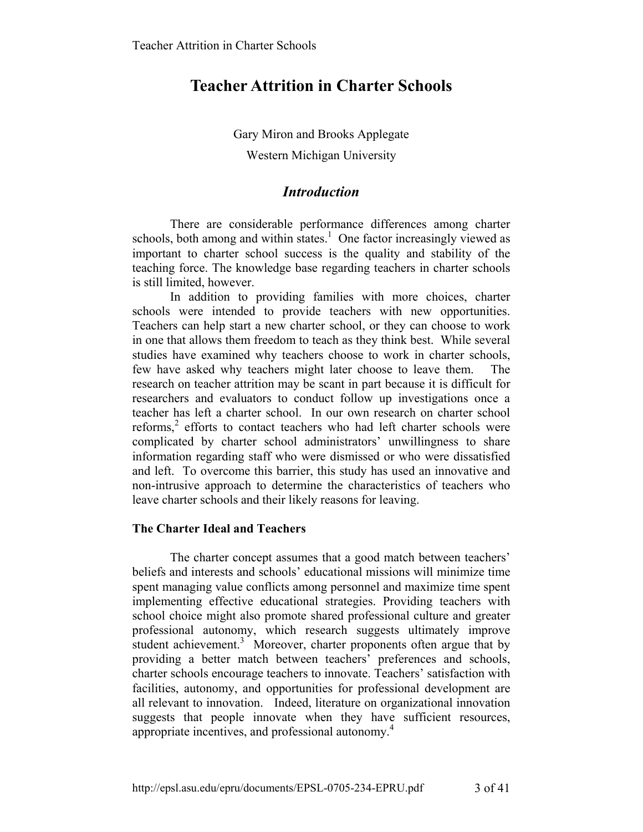Gary Miron and Brooks Applegate Western Michigan University

# *Introduction*

There are considerable performance differences among charter schools, both among and within states.<sup>1</sup> One factor increasingly viewed as important to charter school success is the quality and stability of the teaching force. The knowledge base regarding teachers in charter schools is still limited, however.

In addition to providing families with more choices, charter schools were intended to provide teachers with new opportunities. Teachers can help start a new charter school, or they can choose to work in one that allows them freedom to teach as they think best. While several studies have examined why teachers choose to work in charter schools, few have asked why teachers might later choose to leave them. The research on teacher attrition may be scant in part because it is difficult for researchers and evaluators to conduct follow up investigations once a teacher has left a charter school. In our own research on charter school reforms, $2$  efforts to contact teachers who had left charter schools were complicated by charter school administrators' unwillingness to share information regarding staff who were dismissed or who were dissatisfied and left. To overcome this barrier, this study has used an innovative and non-intrusive approach to determine the characteristics of teachers who leave charter schools and their likely reasons for leaving.

# **The Charter Ideal and Teachers**

The charter concept assumes that a good match between teachers' beliefs and interests and schools' educational missions will minimize time spent managing value conflicts among personnel and maximize time spent implementing effective educational strategies. Providing teachers with school choice might also promote shared professional culture and greater professional autonomy, which research suggests ultimately improve student achievement.<sup>3</sup> Moreover, charter proponents often argue that by providing a better match between teachers' preferences and schools, charter schools encourage teachers to innovate. Teachers' satisfaction with facilities, autonomy, and opportunities for professional development are all relevant to innovation. Indeed, literature on organizational innovation suggests that people innovate when they have sufficient resources, appropriate incentives, and professional autonomy.<sup>4</sup>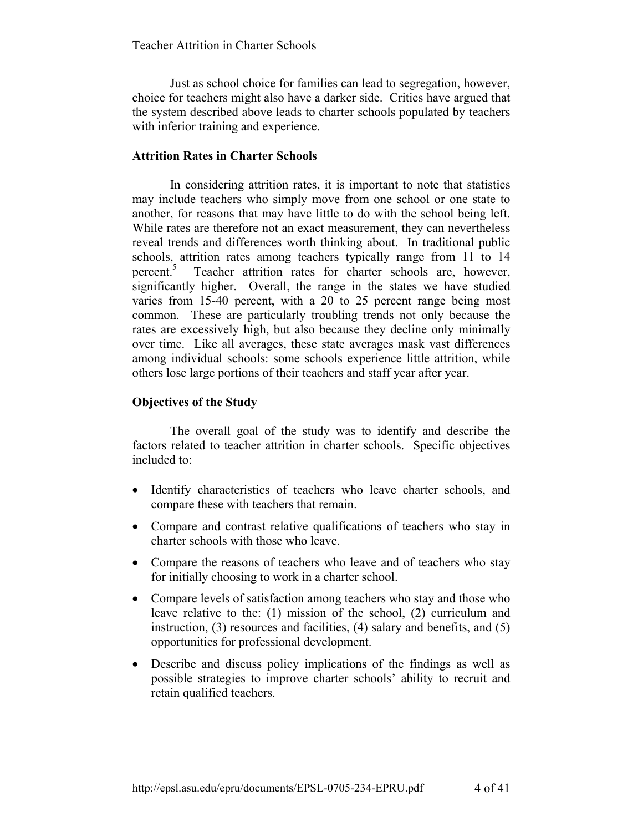Just as school choice for families can lead to segregation, however, choice for teachers might also have a darker side. Critics have argued that the system described above leads to charter schools populated by teachers with inferior training and experience.

### **Attrition Rates in Charter Schools**

In considering attrition rates, it is important to note that statistics may include teachers who simply move from one school or one state to another, for reasons that may have little to do with the school being left. While rates are therefore not an exact measurement, they can nevertheless reveal trends and differences worth thinking about. In traditional public schools, attrition rates among teachers typically range from 11 to 14 percent.<sup>5</sup> Teacher attrition rates for charter schools are, however, significantly higher. Overall, the range in the states we have studied varies from 15-40 percent, with a 20 to 25 percent range being most common. These are particularly troubling trends not only because the rates are excessively high, but also because they decline only minimally over time. Like all averages, these state averages mask vast differences among individual schools: some schools experience little attrition, while others lose large portions of their teachers and staff year after year.

#### **Objectives of the Study**

The overall goal of the study was to identify and describe the factors related to teacher attrition in charter schools. Specific objectives included to:

- Identify characteristics of teachers who leave charter schools, and compare these with teachers that remain.
- Compare and contrast relative qualifications of teachers who stay in charter schools with those who leave.
- Compare the reasons of teachers who leave and of teachers who stay for initially choosing to work in a charter school.
- Compare levels of satisfaction among teachers who stay and those who leave relative to the: (1) mission of the school, (2) curriculum and instruction, (3) resources and facilities, (4) salary and benefits, and (5) opportunities for professional development.
- Describe and discuss policy implications of the findings as well as possible strategies to improve charter schools' ability to recruit and retain qualified teachers.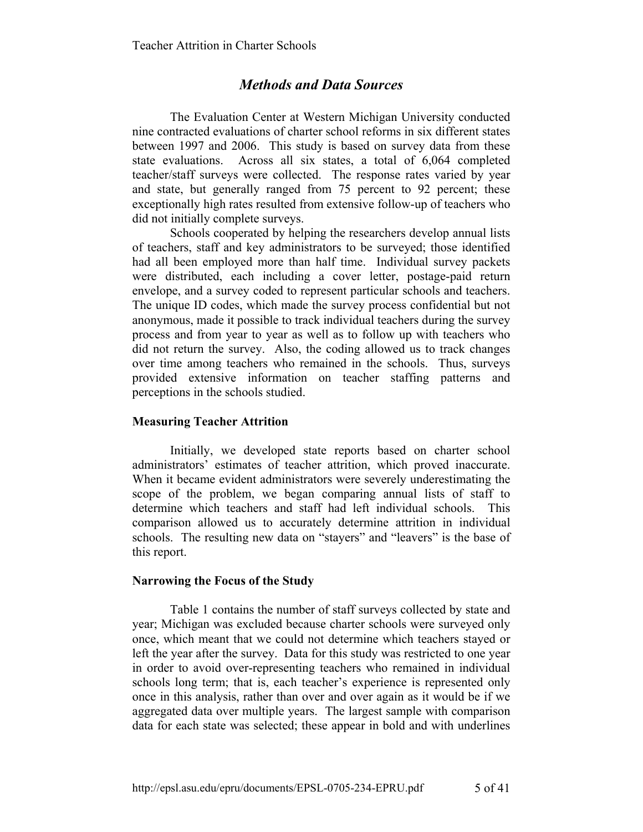# *Methods and Data Sources*

The Evaluation Center at Western Michigan University conducted nine contracted evaluations of charter school reforms in six different states between 1997 and 2006. This study is based on survey data from these state evaluations. Across all six states, a total of 6,064 completed teacher/staff surveys were collected. The response rates varied by year and state, but generally ranged from 75 percent to 92 percent; these exceptionally high rates resulted from extensive follow-up of teachers who did not initially complete surveys.

Schools cooperated by helping the researchers develop annual lists of teachers, staff and key administrators to be surveyed; those identified had all been employed more than half time. Individual survey packets were distributed, each including a cover letter, postage-paid return envelope, and a survey coded to represent particular schools and teachers. The unique ID codes, which made the survey process confidential but not anonymous, made it possible to track individual teachers during the survey process and from year to year as well as to follow up with teachers who did not return the survey. Also, the coding allowed us to track changes over time among teachers who remained in the schools. Thus, surveys provided extensive information on teacher staffing patterns and perceptions in the schools studied.

#### **Measuring Teacher Attrition**

Initially, we developed state reports based on charter school administrators' estimates of teacher attrition, which proved inaccurate. When it became evident administrators were severely underestimating the scope of the problem, we began comparing annual lists of staff to determine which teachers and staff had left individual schools. This comparison allowed us to accurately determine attrition in individual schools. The resulting new data on "stayers" and "leavers" is the base of this report.

#### **Narrowing the Focus of the Study**

Table 1 contains the number of staff surveys collected by state and year; Michigan was excluded because charter schools were surveyed only once, which meant that we could not determine which teachers stayed or left the year after the survey. Data for this study was restricted to one year in order to avoid over-representing teachers who remained in individual schools long term; that is, each teacher's experience is represented only once in this analysis, rather than over and over again as it would be if we aggregated data over multiple years. The largest sample with comparison data for each state was selected; these appear in bold and with underlines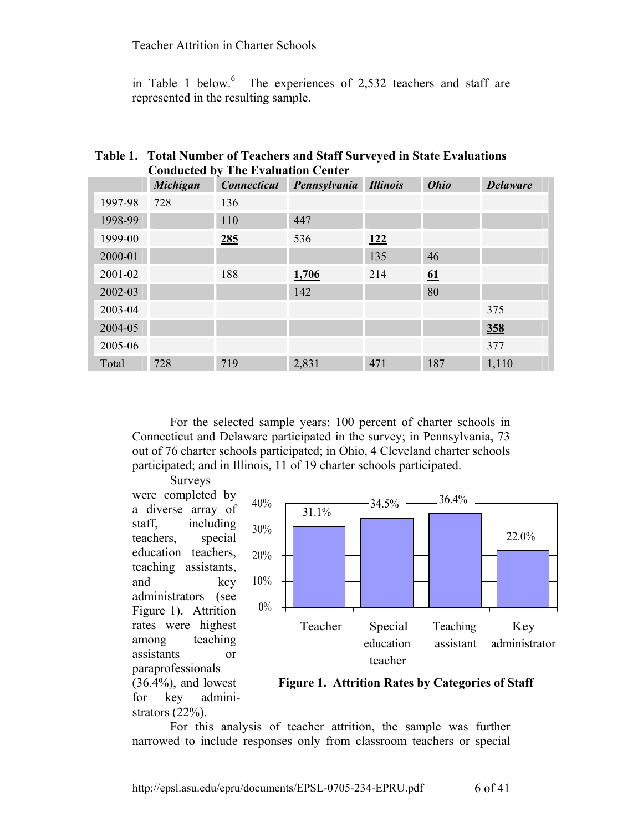in Table 1 below. $6$  The experiences of 2,532 teachers and staff are represented in the resulting sample.

# **Table 1. Total Number of Teachers and Staff Surveyed in State Evaluations Conducted by The Evaluation Center**

|         | $\sim$ $\sim$ $\sim$ $\sim$ $\sim$ $\sim$ $\sim$ $\sim$<br><b>Michigan</b> | The Evaluation Center<br><b>Connecticut</b> | Pennsylvania | <b>Illinois</b> | <b>Ohio</b> | <b>Delaware</b> |
|---------|----------------------------------------------------------------------------|---------------------------------------------|--------------|-----------------|-------------|-----------------|
| 1997-98 | 728                                                                        | 136                                         |              |                 |             |                 |
| 1998-99 |                                                                            | 110                                         | 447          |                 |             |                 |
| 1999-00 |                                                                            | 285                                         | 536          | <u>122</u>      |             |                 |
| 2000-01 |                                                                            |                                             |              | 135             | 46          |                 |
| 2001-02 |                                                                            | 188                                         | 1,706        | 214             | 61          |                 |
| 2002-03 |                                                                            |                                             | 142          |                 | 80          |                 |
| 2003-04 |                                                                            |                                             |              |                 |             | 375             |
| 2004-05 |                                                                            |                                             |              |                 |             | <u>358</u>      |
| 2005-06 |                                                                            |                                             |              |                 |             | 377             |
| Total   | 728                                                                        | 719                                         | 2,831        | 471             | 187         | 1,110           |

For the selected sample years: 100 percent of charter schools in Connecticut and Delaware participated in the survey; in Pennsylvania, 73 out of 76 charter schools participated; in Ohio, 4 Cleveland charter schools participated; and in Illinois, 11 of 19 charter schools participated.

Surveys were completed by a diverse array of staff, including teachers, special education teachers, teaching assistants, and key administrators (see Figure 1). Attrition rates were highest among teaching assistants or paraprofessionals  $(36.4\%)$ , and lowest for key administrators  $(22\%)$ .



 **Figure 1. Attrition Rates by Categories of Staff** 

For this analysis of teacher attrition, the sample was further narrowed to include responses only from classroom teachers or special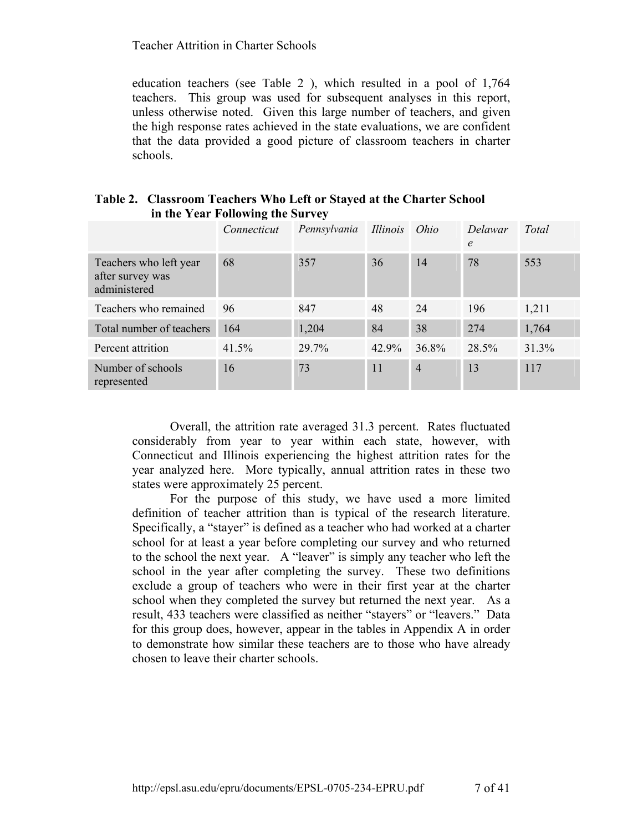education teachers (see Table 2 ), which resulted in a pool of 1,764 teachers. This group was used for subsequent analyses in this report, unless otherwise noted. Given this large number of teachers, and given the high response rates achieved in the state evaluations, we are confident that the data provided a good picture of classroom teachers in charter schools.

| Table 2. Classroom Teachers Who Left or Stayed at the Charter School |
|----------------------------------------------------------------------|
| in the Year Following the Survey                                     |

|                                                            | Connecticut | Pennsylvania Illinois Ohio |       |                | Delawar<br>$\epsilon$ | Total |
|------------------------------------------------------------|-------------|----------------------------|-------|----------------|-----------------------|-------|
| Teachers who left year<br>after survey was<br>administered | 68          | 357                        | 36    | 14             | 78                    | 553   |
| Teachers who remained                                      | 96          | 847                        | 48    | 24             | 196                   | 1,211 |
| Total number of teachers                                   | 164         | 1,204                      | 84    | 38             | 274                   | 1,764 |
| Percent attrition                                          | 41.5%       | 29.7%                      | 42.9% | 36.8%          | 28.5%                 | 31.3% |
| Number of schools<br>represented                           | 16          | 73                         | 11    | $\overline{4}$ | 13                    | 117   |

Overall, the attrition rate averaged 31.3 percent. Rates fluctuated considerably from year to year within each state, however, with Connecticut and Illinois experiencing the highest attrition rates for the year analyzed here. More typically, annual attrition rates in these two states were approximately 25 percent.

For the purpose of this study, we have used a more limited definition of teacher attrition than is typical of the research literature. Specifically, a "stayer" is defined as a teacher who had worked at a charter school for at least a year before completing our survey and who returned to the school the next year. A "leaver" is simply any teacher who left the school in the year after completing the survey. These two definitions exclude a group of teachers who were in their first year at the charter school when they completed the survey but returned the next year. As a result, 433 teachers were classified as neither "stayers" or "leavers." Data for this group does, however, appear in the tables in Appendix A in order to demonstrate how similar these teachers are to those who have already chosen to leave their charter schools.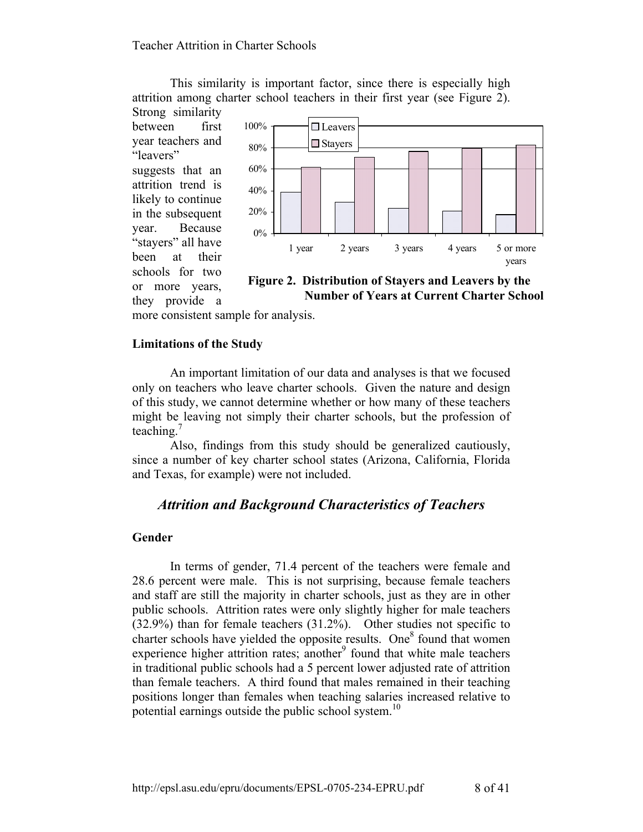This similarity is important factor, since there is especially high attrition among charter school teachers in their first year (see Figure 2). Strong similarity

between first year teachers and "leavers" suggests that an attrition trend is likely to continue in the subsequent year. Because "stayers" all have been at their schools for two or more years, they provide a



 **Number of Years at Current Charter School**

more consistent sample for analysis.

#### **Limitations of the Study**

An important limitation of our data and analyses is that we focused only on teachers who leave charter schools. Given the nature and design of this study, we cannot determine whether or how many of these teachers might be leaving not simply their charter schools, but the profession of teaching.<sup>7</sup>

Also, findings from this study should be generalized cautiously, since a number of key charter school states (Arizona, California, Florida and Texas, for example) were not included.

# *Attrition and Background Characteristics of Teachers*

#### **Gender**

In terms of gender, 71.4 percent of the teachers were female and 28.6 percent were male. This is not surprising, because female teachers and staff are still the majority in charter schools, just as they are in other public schools. Attrition rates were only slightly higher for male teachers (32.9%) than for female teachers (31.2%). Other studies not specific to charter schools have yielded the opposite results. One<sup>8</sup> found that women experience higher attrition rates; another $\degree$  found that white male teachers in traditional public schools had a 5 percent lower adjusted rate of attrition than female teachers. A third found that males remained in their teaching positions longer than females when teaching salaries increased relative to potential earnings outside the public school system.<sup>10</sup>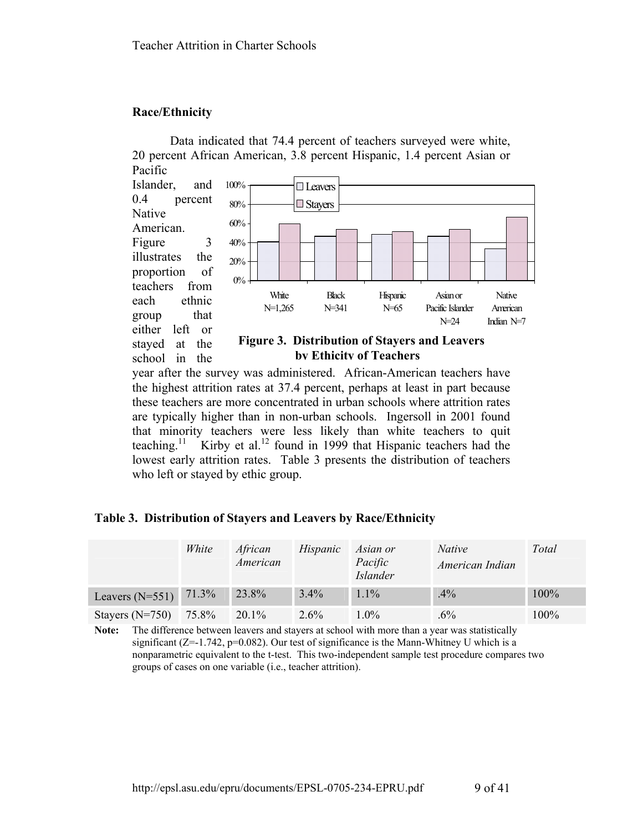### **Race/Ethnicity**

Data indicated that 74.4 percent of teachers surveyed were white, 20 percent African American, 3.8 percent Hispanic, 1.4 percent Asian or Pacific



year after the survey was administered. African-American teachers have the highest attrition rates at 37.4 percent, perhaps at least in part because these teachers are more concentrated in urban schools where attrition rates are typically higher than in non-urban schools. Ingersoll in 2001 found that minority teachers were less likely than white teachers to quit teaching.<sup>11</sup> Kirby et al.<sup>12</sup> found in 1999 that Hispanic teachers had the lowest early attrition rates. Table 3 presents the distribution of teachers who left or stayed by ethic group.

#### **Table 3. Distribution of Stayers and Leavers by Race/Ethnicity**

|                   | White | African<br>American | Hispanic | Asian or<br>Pacific<br><b>Islander</b> | <i>Native</i><br>American Indian | Total |
|-------------------|-------|---------------------|----------|----------------------------------------|----------------------------------|-------|
| Leavers $(N=551)$ | 71.3% | 23.8%               | $3.4\%$  | $1.1\%$                                | $.4\%$                           | 100%  |
| Stayers $(N=750)$ | 75.8% | $20.1\%$            | $2.6\%$  | $1.0\%$                                | $.6\%$                           | 100%  |

**Note:** The difference between leavers and stayers at school with more than a year was statistically significant  $(Z=-1.742, p=0.082)$ . Our test of significance is the Mann-Whitney U which is a nonparametric equivalent to the t-test. This two-independent sample test procedure compares two groups of cases on one variable (i.e., teacher attrition).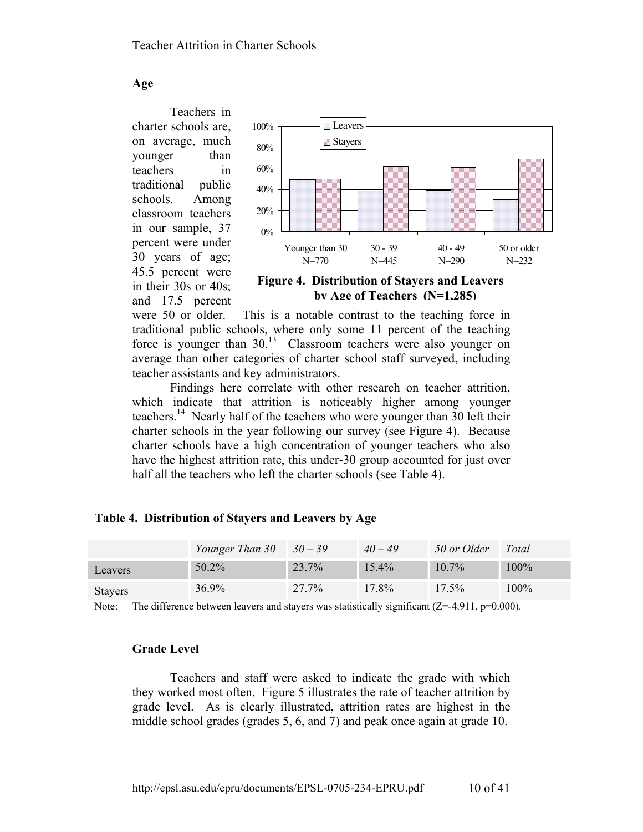**Age** 

Teachers in charter schools are, on average, much younger than teachers in traditional public schools. Among classroom teachers in our sample, 37 percent were under 30 years of age; 45.5 percent were in their 30s or 40s; and 17.5 percent



 **by Age of Teachers (N=1,285)**

were 50 or older. This is a notable contrast to the teaching force in traditional public schools, where only some 11 percent of the teaching force is younger than  $30^{13}$  Classroom teachers were also younger on average than other categories of charter school staff surveyed, including teacher assistants and key administrators.

Findings here correlate with other research on teacher attrition, which indicate that attrition is noticeably higher among younger teachers.<sup>14</sup> Nearly half of the teachers who were younger than 30 left their charter schools in the year following our survey (see Figure 4). Because charter schools have a high concentration of younger teachers who also have the highest attrition rate, this under-30 group accounted for just over half all the teachers who left the charter schools (see Table 4).

|                | Younger Than $30 \quad 30 - 39$ |       | $40 - 49$ | 50 or Older | Total |
|----------------|---------------------------------|-------|-----------|-------------|-------|
| Leavers        | $50.2\%$                        | 23.7% | 15.4%     | $10.7\%$    | 100%  |
| <b>Stayers</b> | $36.9\%$                        | 27.7% | 17.8%     | $17.5\%$    | 100%  |

#### **Table 4. Distribution of Stayers and Leavers by Age**

Note: The difference between leavers and stayers was statistically significant  $(Z=4.911, p=0.000)$ .

#### **Grade Level**

Teachers and staff were asked to indicate the grade with which they worked most often. Figure 5 illustrates the rate of teacher attrition by grade level. As is clearly illustrated, attrition rates are highest in the middle school grades (grades 5, 6, and 7) and peak once again at grade 10.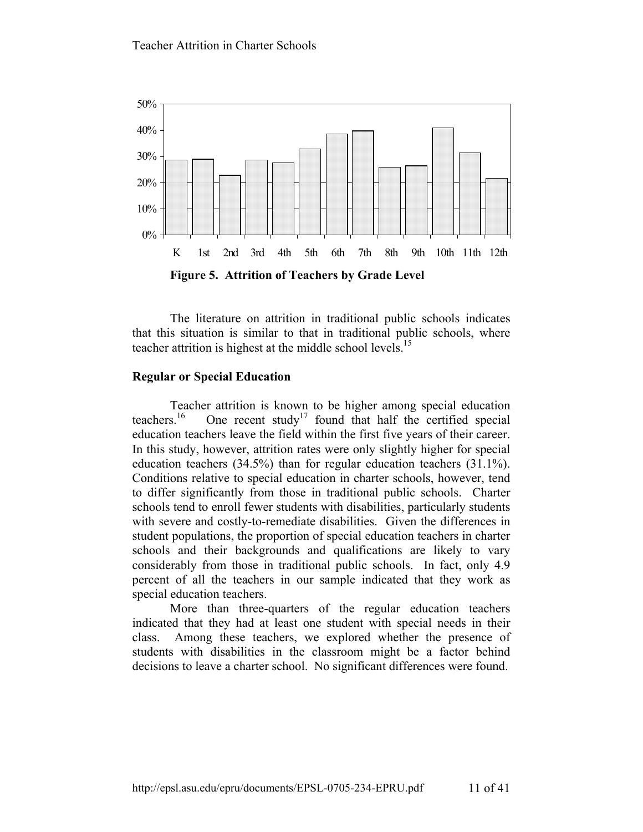

The literature on attrition in traditional public schools indicates that this situation is similar to that in traditional public schools, where teacher attrition is highest at the middle school levels.<sup>15</sup>

#### **Regular or Special Education**

Teacher attrition is known to be higher among special education<br>teachers.<sup>16</sup> One recent study<sup>17</sup> found that half the certified special One recent study<sup>17</sup> found that half the certified special education teachers leave the field within the first five years of their career. In this study, however, attrition rates were only slightly higher for special education teachers (34.5%) than for regular education teachers (31.1%). Conditions relative to special education in charter schools, however, tend to differ significantly from those in traditional public schools. Charter schools tend to enroll fewer students with disabilities, particularly students with severe and costly-to-remediate disabilities. Given the differences in student populations, the proportion of special education teachers in charter schools and their backgrounds and qualifications are likely to vary considerably from those in traditional public schools. In fact, only 4.9 percent of all the teachers in our sample indicated that they work as special education teachers.

More than three-quarters of the regular education teachers indicated that they had at least one student with special needs in their class. Among these teachers, we explored whether the presence of students with disabilities in the classroom might be a factor behind decisions to leave a charter school. No significant differences were found.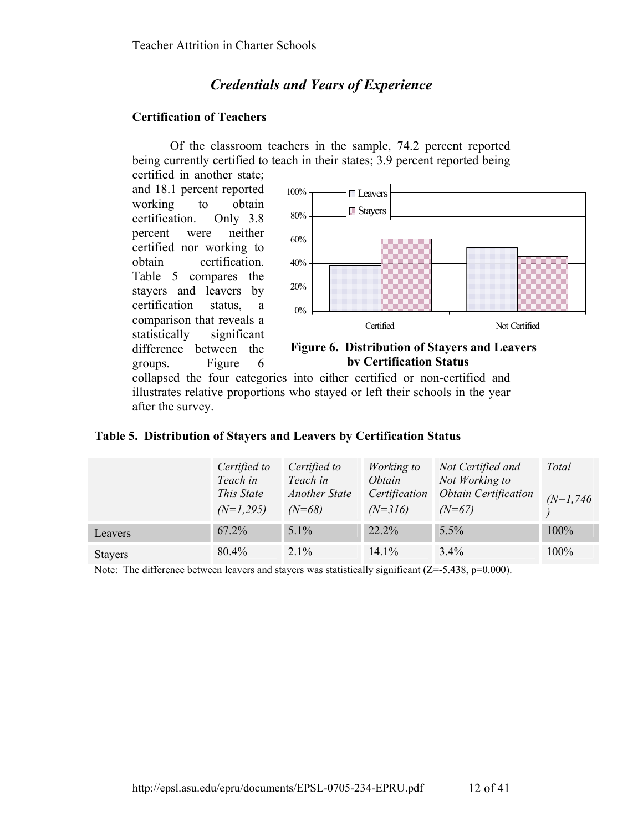# *Credentials and Years of Experience*

# **Certification of Teachers**

Of the classroom teachers in the sample, 74.2 percent reported being currently certified to teach in their states; 3.9 percent reported being

certified in another state; and 18.1 percent reported working to obtain certification. Only 3.8 percent were neither certified nor working to obtain certification. Table 5 compares the stayers and leavers by certification status, a comparison that reveals a statistically significant difference between the groups. Figure 6



#### **Figure 6. Distribution of Stayers and Leavers by Certification Status**

collapsed the four categories into either certified or non-certified and illustrates relative proportions who stayed or left their schools in the year after the survey.

| Table 5. Distribution of Stayers and Leavers by Certification Status |  |  |  |  |  |  |
|----------------------------------------------------------------------|--|--|--|--|--|--|
|----------------------------------------------------------------------|--|--|--|--|--|--|

|                | Certified to<br>Teach in<br>This State<br>$(N=1,295)$ | Certified to<br>Teach in<br><b>Another State</b><br>$(N=68)$ | Working to<br><i>Obtain</i><br>Certification<br>$(N=316)$ | Not Certified and<br>Not Working to<br><b>Obtain Certification</b><br>$(N=67)$ | Total<br>$(N=1,746)$ |
|----------------|-------------------------------------------------------|--------------------------------------------------------------|-----------------------------------------------------------|--------------------------------------------------------------------------------|----------------------|
| Leavers        | 67.2%                                                 | $5.1\%$                                                      | 22.2%                                                     | 5.5%                                                                           | 100%                 |
| <b>Stayers</b> | $80.4\%$                                              | $2.1\%$                                                      | $14.1\%$                                                  | $3.4\%$                                                                        | 100%                 |

Note: The difference between leavers and stayers was statistically significant  $(Z=-5.438, p=0.000)$ .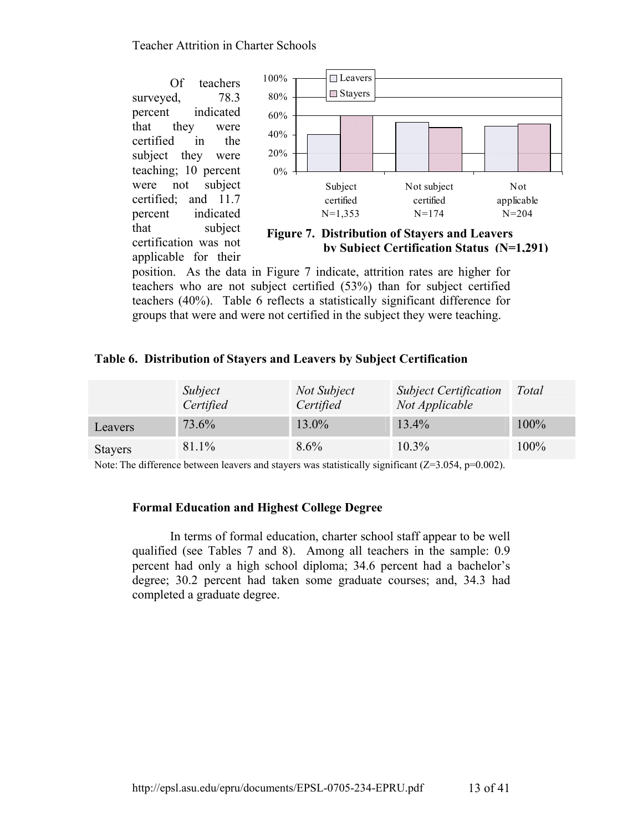Of teachers surveyed, 78.3 percent indicated that they were certified in the subject they were teaching; 10 percent were not subject certified; and 11.7 percent indicated that subject certification was not applicable for their



 **Figure 7. Distribution of Stayers and Leavers by Subject Certification Status (N=1,291)**

position. As the data in Figure 7 indicate, attrition rates are higher for teachers who are not subject certified (53%) than for subject certified teachers (40%). Table 6 reflects a statistically significant difference for groups that were and were not certified in the subject they were teaching.

# **Table 6. Distribution of Stayers and Leavers by Subject Certification**

|                | Subject<br>Certified | Not Subject<br>Certified | <b>Subject Certification</b><br>Not Applicable | Total |
|----------------|----------------------|--------------------------|------------------------------------------------|-------|
| Leavers        | 73.6%                | 13.0%                    | 13.4%                                          | 100%  |
| <b>Stayers</b> | 81.1%                | $8.6\%$                  | $10.3\%$                                       | 100%  |

Note: The difference between leavers and stayers was statistically significant  $(Z=3.054, p=0.002)$ .

# **Formal Education and Highest College Degree**

In terms of formal education, charter school staff appear to be well qualified (see Tables 7 and 8). Among all teachers in the sample: 0.9 percent had only a high school diploma; 34.6 percent had a bachelor's degree; 30.2 percent had taken some graduate courses; and, 34.3 had completed a graduate degree.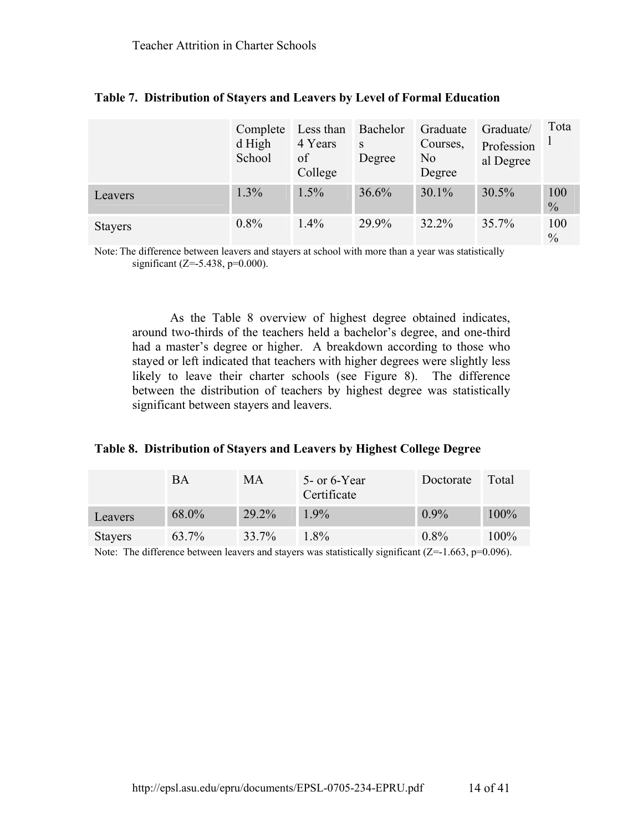|                | Complete<br>d High<br>School | Less than<br>4 Years<br>of<br>College | Bachelor<br>S<br>Degree | Graduate<br>Courses,<br>No<br>Degree | Graduate/<br>Profession<br>al Degree | Tota                 |
|----------------|------------------------------|---------------------------------------|-------------------------|--------------------------------------|--------------------------------------|----------------------|
| Leavers        | 1.3%                         | 1.5%                                  | 36.6%                   | 30.1%                                | 30.5%                                | 100<br>$\frac{0}{0}$ |
| <b>Stayers</b> | $0.8\%$                      | $1.4\%$                               | 29.9%                   | 32.2%                                | 35.7%                                | 100<br>$\frac{0}{0}$ |

|  |  | Table 7. Distribution of Stayers and Leavers by Level of Formal Education |
|--|--|---------------------------------------------------------------------------|
|  |  |                                                                           |

Note: The difference between leavers and stayers at school with more than a year was statistically significant ( $Z = -5.438$ ,  $p = 0.000$ ).

As the Table 8 overview of highest degree obtained indicates, around two-thirds of the teachers held a bachelor's degree, and one-third had a master's degree or higher. A breakdown according to those who stayed or left indicated that teachers with higher degrees were slightly less likely to leave their charter schools (see Figure 8). The difference between the distribution of teachers by highest degree was statistically significant between stayers and leavers.

#### **Table 8. Distribution of Stayers and Leavers by Highest College Degree**

|                    | BA    | MА    | 5 - or 6 - Year<br>Certificate                                                                                            | Doctorate | Total   |
|--------------------|-------|-------|---------------------------------------------------------------------------------------------------------------------------|-----------|---------|
| Leavers            | 68.0% | 29.2% | $1.9\%$                                                                                                                   | $0.9\%$   | 100%    |
| <b>Stayers</b>     | 63.7% | 33.7% | $1.8\%$                                                                                                                   | $0.8\%$   | $100\%$ |
| $\mathbf{v}$ , and |       |       | $\sim$<br>the contract of the contract of the contract of the contract of the contract of the contract of the contract of |           |         |

Note: The difference between leavers and stayers was statistically significant  $(Z=1.663, p=0.096)$ .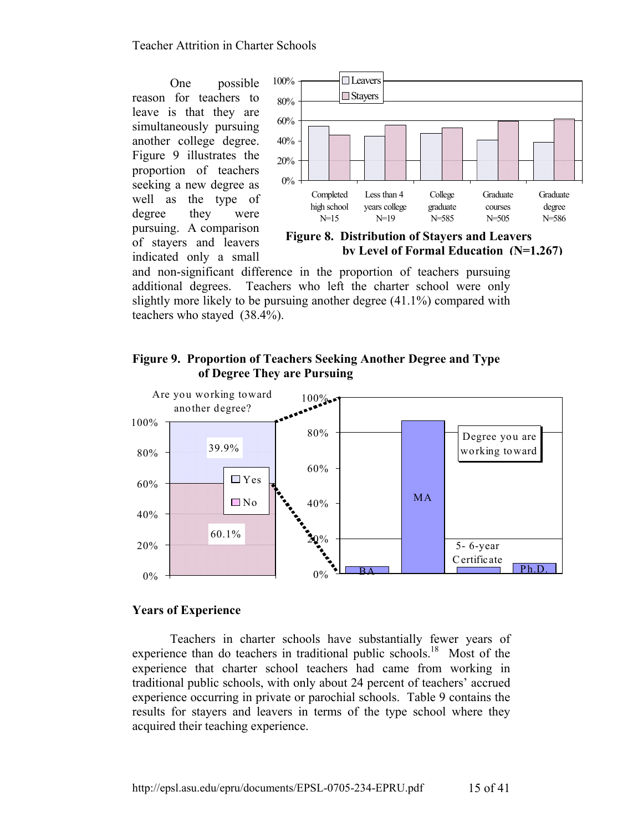One possible reason for teachers to leave is that they are simultaneously pursuing another college degree. Figure 9 illustrates the proportion of teachers seeking a new degree as well as the type of degree they were pursuing. A comparison of stayers and leavers indicated only a small



 **Figure 8. Distribution of Stayers and Leavers by Level of Formal Education (N=1,267)**

and non-significant difference in the proportion of teachers pursuing additional degrees. Teachers who left the charter school were only slightly more likely to be pursuing another degree (41.1%) compared with teachers who stayed (38.4%).

# **Figure 9. Proportion of Teachers Seeking Another Degree and Type of Degree They are Pursuing**



#### **Years of Experience**

Teachers in charter schools have substantially fewer years of experience than do teachers in traditional public schools.<sup>18</sup> Most of the experience that charter school teachers had came from working in traditional public schools, with only about 24 percent of teachers' accrued experience occurring in private or parochial schools. Table 9 contains the results for stayers and leavers in terms of the type school where they acquired their teaching experience.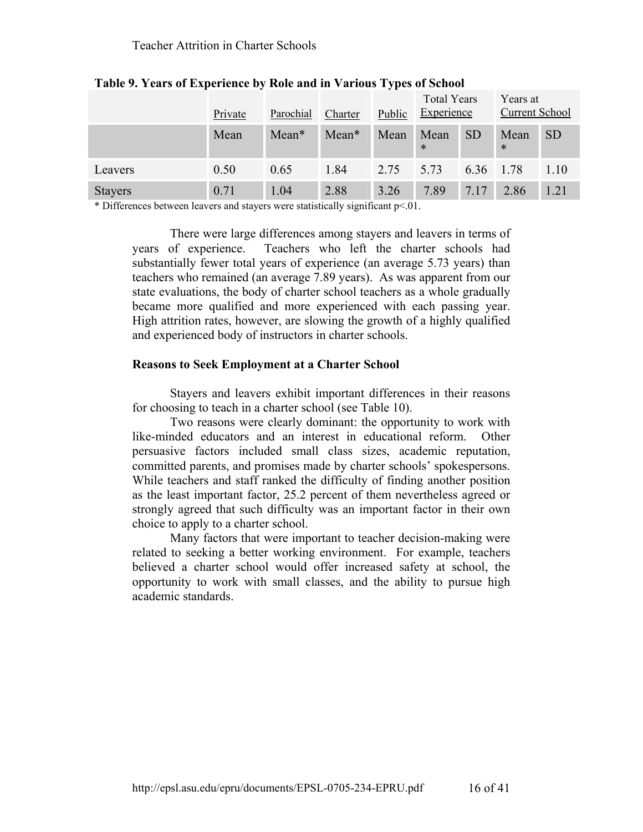|                | Private | Parochial | Charter | Public | <b>Total Years</b><br><b>Experience</b> |           | Years at<br><b>Current School</b> |           |
|----------------|---------|-----------|---------|--------|-----------------------------------------|-----------|-----------------------------------|-----------|
|                | Mean    | Mean*     | Mean*   | Mean   | Mean<br>$\ast$                          | <b>SD</b> | Mean<br>$\ast$                    | <b>SD</b> |
| Leavers        | 0.50    | 0.65      | 1.84    | 2.75   | 5.73                                    | 6.36      | 1.78                              | 1.10      |
| <b>Stayers</b> | 0.71    | 1.04      | 2.88    | 3.26   | 7.89                                    | 7.17      | 2.86                              | 1.21      |

**Table 9. Years of Experience by Role and in Various Types of School** 

\* Differences between leavers and stayers were statistically significant p<.01.

There were large differences among stayers and leavers in terms of years of experience. Teachers who left the charter schools had substantially fewer total years of experience (an average 5.73 years) than teachers who remained (an average 7.89 years). As was apparent from our state evaluations, the body of charter school teachers as a whole gradually became more qualified and more experienced with each passing year. High attrition rates, however, are slowing the growth of a highly qualified and experienced body of instructors in charter schools.

# **Reasons to Seek Employment at a Charter School**

Stayers and leavers exhibit important differences in their reasons for choosing to teach in a charter school (see Table 10).

Two reasons were clearly dominant: the opportunity to work with like-minded educators and an interest in educational reform. Other persuasive factors included small class sizes, academic reputation, committed parents, and promises made by charter schools' spokespersons. While teachers and staff ranked the difficulty of finding another position as the least important factor, 25.2 percent of them nevertheless agreed or strongly agreed that such difficulty was an important factor in their own choice to apply to a charter school.

Many factors that were important to teacher decision-making were related to seeking a better working environment. For example, teachers believed a charter school would offer increased safety at school, the opportunity to work with small classes, and the ability to pursue high academic standards.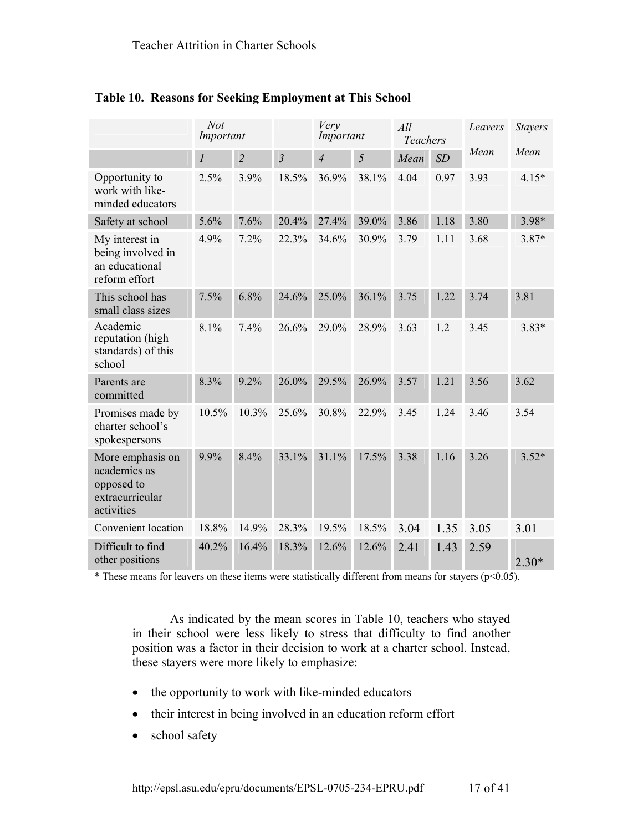|                                                                                 | <b>Not</b><br>Important |                |                | Very<br>Important |       | All<br><b>Teachers</b> |      | Leavers | <b>Stayers</b> |
|---------------------------------------------------------------------------------|-------------------------|----------------|----------------|-------------------|-------|------------------------|------|---------|----------------|
|                                                                                 | $\boldsymbol{l}$        | $\overline{c}$ | $\mathfrak{Z}$ | $\overline{4}$    | 5     | Mean                   | SD   | Mean    | Mean           |
| Opportunity to<br>work with like-<br>minded educators                           | 2.5%                    | 3.9%           | 18.5%          | 36.9%             | 38.1% | 4.04                   | 0.97 | 3.93    | $4.15*$        |
| Safety at school                                                                | 5.6%                    | 7.6%           | 20.4%          | 27.4%             | 39.0% | 3.86                   | 1.18 | 3.80    | 3.98*          |
| My interest in<br>being involved in<br>an educational<br>reform effort          | 4.9%                    | 7.2%           | 22.3%          | 34.6%             | 30.9% | 3.79                   | 1.11 | 3.68    | $3.87*$        |
| This school has<br>small class sizes                                            | 7.5%                    | 6.8%           | 24.6%          | 25.0%             | 36.1% | 3.75                   | 1.22 | 3.74    | 3.81           |
| Academic<br>reputation (high<br>standards) of this<br>school                    | 8.1%                    | 7.4%           | 26.6%          | 29.0%             | 28.9% | 3.63                   | 1.2  | 3.45    | $3.83*$        |
| Parents are<br>committed                                                        | 8.3%                    | 9.2%           | 26.0%          | 29.5%             | 26.9% | 3.57                   | 1.21 | 3.56    | 3.62           |
| Promises made by<br>charter school's<br>spokespersons                           | 10.5%                   | 10.3%          | 25.6%          | 30.8%             | 22.9% | 3.45                   | 1.24 | 3.46    | 3.54           |
| More emphasis on<br>academics as<br>opposed to<br>extracurricular<br>activities | 9.9%                    | 8.4%           | 33.1%          | 31.1%             | 17.5% | 3.38                   | 1.16 | 3.26    | $3.52*$        |
| Convenient location                                                             | 18.8%                   | 14.9%          | 28.3%          | 19.5%             | 18.5% | 3.04                   | 1.35 | 3.05    | 3.01           |
| Difficult to find<br>other positions                                            | 40.2%                   | 16.4%          | 18.3%          | 12.6%             | 12.6% | 2.41                   | 1.43 | 2.59    | $2.30*$        |

**Table 10. Reasons for Seeking Employment at This School**

\* These means for leavers on these items were statistically different from means for stayers (p<0.05).

As indicated by the mean scores in Table 10, teachers who stayed in their school were less likely to stress that difficulty to find another position was a factor in their decision to work at a charter school. Instead, these stayers were more likely to emphasize:

- the opportunity to work with like-minded educators
- their interest in being involved in an education reform effort
- school safety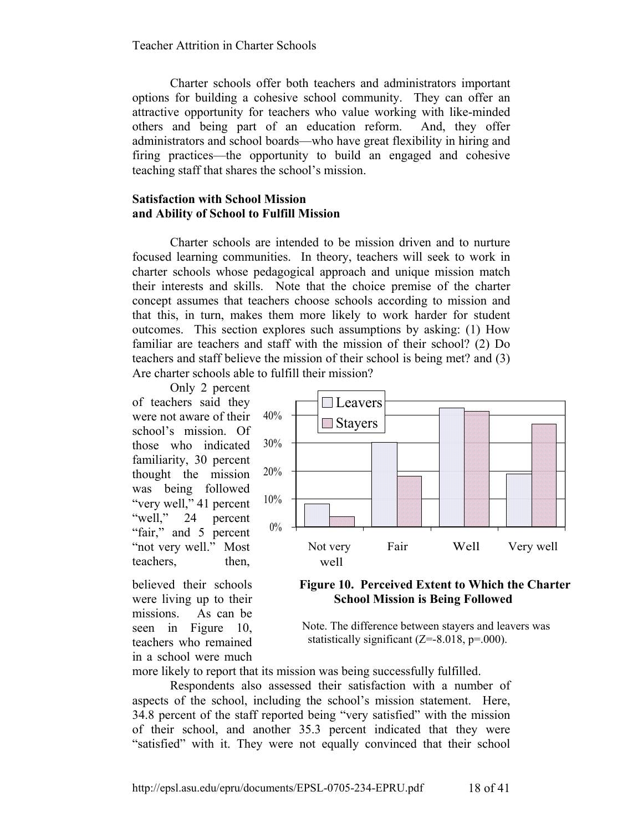Charter schools offer both teachers and administrators important options for building a cohesive school community. They can offer an attractive opportunity for teachers who value working with like-minded others and being part of an education reform. And, they offer administrators and school boards—who have great flexibility in hiring and firing practices—the opportunity to build an engaged and cohesive teaching staff that shares the school's mission.

#### **Satisfaction with School Mission and Ability of School to Fulfill Mission**

Charter schools are intended to be mission driven and to nurture focused learning communities. In theory, teachers will seek to work in charter schools whose pedagogical approach and unique mission match their interests and skills. Note that the choice premise of the charter concept assumes that teachers choose schools according to mission and that this, in turn, makes them more likely to work harder for student outcomes. This section explores such assumptions by asking: (1) How familiar are teachers and staff with the mission of their school? (2) Do teachers and staff believe the mission of their school is being met? and (3) Are charter schools able to fulfill their mission?

Only 2 percent of teachers said they were not aware of their school's mission. Of those who indicated familiarity, 30 percent thought the mission was being followed "very well," 41 percent "well," 24 percent "fair," and 5 percent "not very well." Most teachers, then,

believed their schools were living up to their missions. As can be seen in Figure 10. teachers who remained in a school were much



 **Figure 10. Perceived Extent to Which the Charter School Mission is Being Followed** 

Note. The difference between stayers and leavers was statistically significant  $(Z=8.018, p=.000)$ .

more likely to report that its mission was being successfully fulfilled.

Respondents also assessed their satisfaction with a number of aspects of the school, including the school's mission statement. Here, 34.8 percent of the staff reported being "very satisfied" with the mission of their school, and another 35.3 percent indicated that they were "satisfied" with it. They were not equally convinced that their school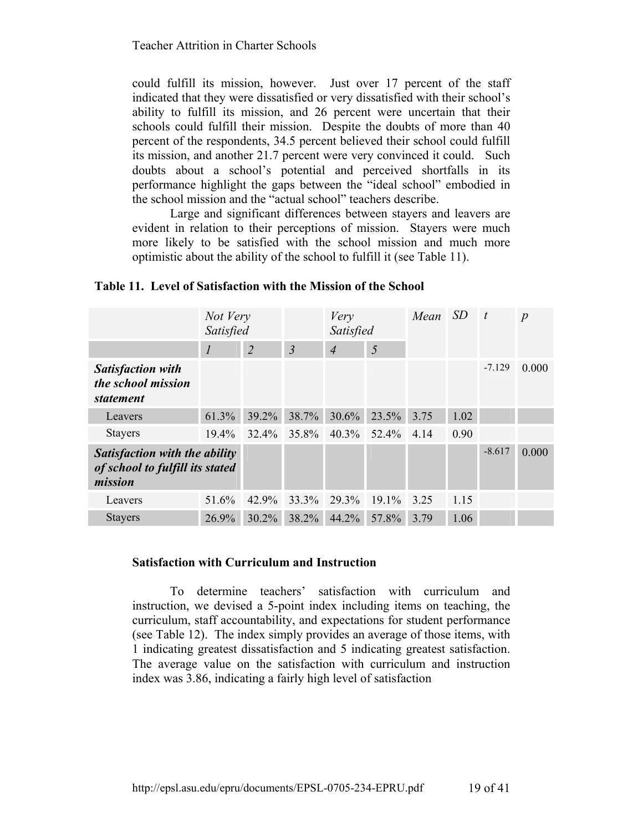could fulfill its mission, however. Just over 17 percent of the staff indicated that they were dissatisfied or very dissatisfied with their school's ability to fulfill its mission, and 26 percent were uncertain that their schools could fulfill their mission. Despite the doubts of more than 40 percent of the respondents, 34.5 percent believed their school could fulfill its mission, and another 21.7 percent were very convinced it could. Such doubts about a school's potential and perceived shortfalls in its performance highlight the gaps between the "ideal school" embodied in the school mission and the "actual school" teachers describe.

Large and significant differences between stayers and leavers are evident in relation to their perceptions of mission. Stayers were much more likely to be satisfied with the school mission and much more optimistic about the ability of the school to fulfill it (see Table 11).

|                                                                             | Not Very<br>Satisfied       |                | Very<br>Satisfied |                          | Mean  | <sub>SD</sub> | $\mathbf{t}$ | $\boldsymbol{p}$ |       |
|-----------------------------------------------------------------------------|-----------------------------|----------------|-------------------|--------------------------|-------|---------------|--------------|------------------|-------|
|                                                                             | $\mathcal{I}_{\mathcal{I}}$ | $\overline{2}$ | $\overline{3}$    | $\overline{\mathcal{A}}$ | 5     |               |              |                  |       |
| <b>Satisfaction with</b><br>the school mission<br><i>statement</i>          |                             |                |                   |                          |       |               |              | $-7.129$         | 0.000 |
| Leavers                                                                     | 61.3%                       | 39.2%          | 38.7%             | 30.6%                    | 23.5% | 3.75          | 1.02         |                  |       |
| <b>Stayers</b>                                                              | $19.4\%$                    | 32.4%          | 35.8%             | $40.3\%$                 | 52.4% | 4.14          | 0.90         |                  |       |
| Satisfaction with the ability<br>of school to fulfill its stated<br>mission |                             |                |                   |                          |       |               |              | $-8.617$         | 0.000 |
| Leavers                                                                     | 51.6%                       | $42.9\%$       | 33.3%             | 29.3%                    | 19.1% | 3.25          | 1.15         |                  |       |
| <b>Stayers</b>                                                              | 26.9%                       | 30.2%          | 38.2%             | 44.2%                    | 57.8% | 3.79          | 1.06         |                  |       |

#### **Table 11. Level of Satisfaction with the Mission of the School**

#### **Satisfaction with Curriculum and Instruction**

To determine teachers' satisfaction with curriculum and instruction, we devised a 5-point index including items on teaching, the curriculum, staff accountability, and expectations for student performance (see Table 12). The index simply provides an average of those items, with 1 indicating greatest dissatisfaction and 5 indicating greatest satisfaction. The average value on the satisfaction with curriculum and instruction index was 3.86, indicating a fairly high level of satisfaction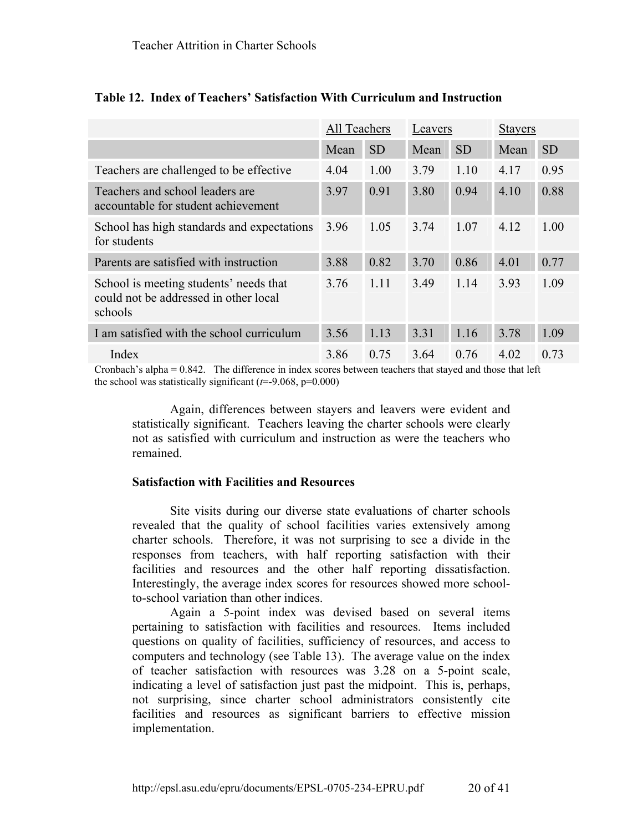|                                                                                            | All Teachers |           | Leavers |           | <b>Stayers</b> |           |
|--------------------------------------------------------------------------------------------|--------------|-----------|---------|-----------|----------------|-----------|
|                                                                                            | Mean         | <b>SD</b> | Mean    | <b>SD</b> | Mean           | <b>SD</b> |
| Teachers are challenged to be effective.                                                   | 4.04         | 1.00      | 3.79    | 1.10      | 4.17           | 0.95      |
| Teachers and school leaders are<br>accountable for student achievement                     | 3.97         | 0.91      | 3.80    | 0.94      | 4.10           | 0.88      |
| School has high standards and expectations<br>for students                                 | 3.96         | 1.05      | 3.74    | 1.07      | 4.12           | 1.00      |
| Parents are satisfied with instruction                                                     | 3.88         | 0.82      | 3.70    | 0.86      | 4.01           | 0.77      |
| School is meeting students' needs that<br>could not be addressed in other local<br>schools | 3.76         | 1.11      | 3.49    | 1.14      | 3.93           | 1.09      |
| I am satisfied with the school curriculum                                                  | 3.56         | 1.13      | 3.31    | 1.16      | 3.78           | 1.09      |
| Index                                                                                      | 3.86         | 0.75      | 3.64    | 0.76      | 4.02           | 0.73      |

# **Table 12. Index of Teachers' Satisfaction With Curriculum and Instruction**

Cronbach's alpha = 0.842. The difference in index scores between teachers that stayed and those that left the school was statistically significant (*t*=-9.068, p=0.000)

Again, differences between stayers and leavers were evident and statistically significant. Teachers leaving the charter schools were clearly not as satisfied with curriculum and instruction as were the teachers who remained.

# **Satisfaction with Facilities and Resources**

Site visits during our diverse state evaluations of charter schools revealed that the quality of school facilities varies extensively among charter schools. Therefore, it was not surprising to see a divide in the responses from teachers, with half reporting satisfaction with their facilities and resources and the other half reporting dissatisfaction. Interestingly, the average index scores for resources showed more schoolto-school variation than other indices.

Again a 5-point index was devised based on several items pertaining to satisfaction with facilities and resources. Items included questions on quality of facilities, sufficiency of resources, and access to computers and technology (see Table 13). The average value on the index of teacher satisfaction with resources was 3.28 on a 5-point scale, indicating a level of satisfaction just past the midpoint. This is, perhaps, not surprising, since charter school administrators consistently cite facilities and resources as significant barriers to effective mission implementation.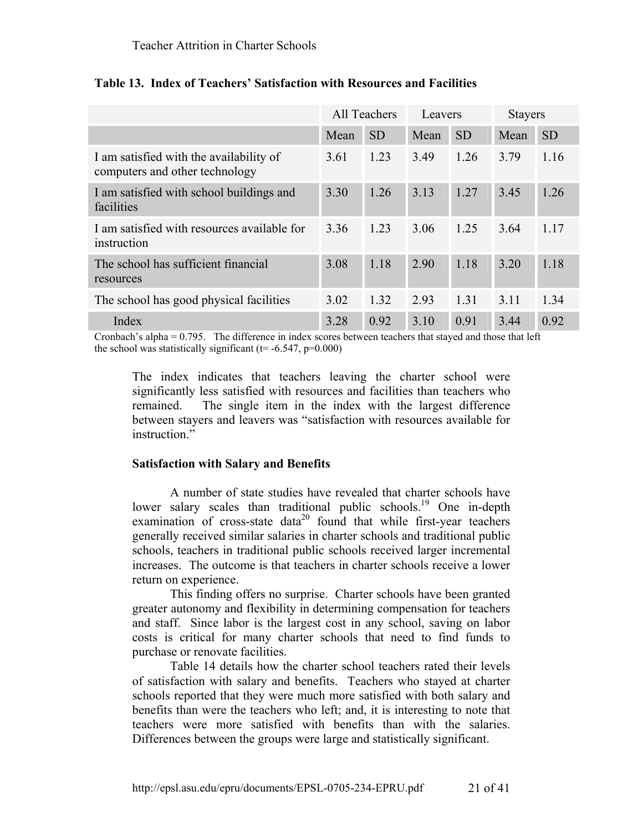|                                                                           |      | All Teachers | Leavers |           | <b>Stayers</b> |           |
|---------------------------------------------------------------------------|------|--------------|---------|-----------|----------------|-----------|
|                                                                           | Mean | <b>SD</b>    | Mean    | <b>SD</b> | Mean           | <b>SD</b> |
| I am satisfied with the availability of<br>computers and other technology | 3.61 | 1.23         | 3.49    | 1.26      | 3.79           | 1.16      |
| I am satisfied with school buildings and<br>facilities                    | 3.30 | 1.26         | 3.13    | 1.27      | 3.45           | 1.26      |
| I am satisfied with resources available for<br>instruction                | 3.36 | 1.23         | 3.06    | 1.25      | 3.64           | 1.17      |
| The school has sufficient financial<br>resources                          | 3.08 | 1.18         | 2.90    | 1.18      | 3.20           | 1.18      |
| The school has good physical facilities                                   | 3.02 | 1.32         | 2.93    | 1.31      | 3.11           | 1.34      |
| Index                                                                     | 3.28 | 0.92         | 3.10    | 0.91      | 3.44           | 0.92      |

# **Table 13. Index of Teachers' Satisfaction with Resources and Facilities**

Cronbach's alpha = 0.795. The difference in index scores between teachers that stayed and those that left the school was statistically significant ( $t=$  -6.547,  $p=0.000$ )

The index indicates that teachers leaving the charter school were significantly less satisfied with resources and facilities than teachers who remained. The single item in the index with the largest difference between stayers and leavers was "satisfaction with resources available for instruction."

# **Satisfaction with Salary and Benefits**

A number of state studies have revealed that charter schools have lower salary scales than traditional public schools.<sup>19</sup> One in-depth examination of cross-state data<sup>20</sup> found that while first-year teachers generally received similar salaries in charter schools and traditional public schools, teachers in traditional public schools received larger incremental increases. The outcome is that teachers in charter schools receive a lower return on experience.

This finding offers no surprise. Charter schools have been granted greater autonomy and flexibility in determining compensation for teachers and staff. Since labor is the largest cost in any school, saving on labor costs is critical for many charter schools that need to find funds to purchase or renovate facilities.

Table 14 details how the charter school teachers rated their levels of satisfaction with salary and benefits. Teachers who stayed at charter schools reported that they were much more satisfied with both salary and benefits than were the teachers who left; and, it is interesting to note that teachers were more satisfied with benefits than with the salaries. Differences between the groups were large and statistically significant.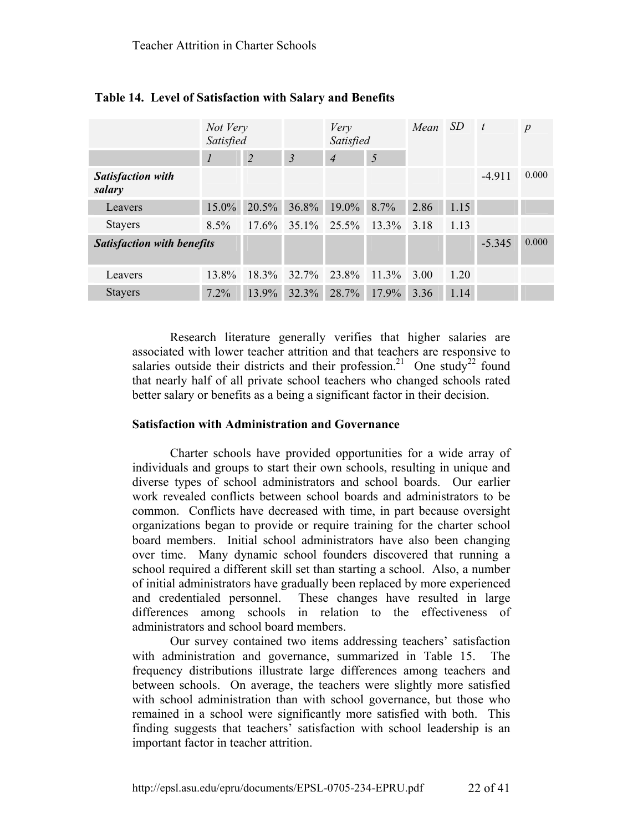|                                    | Not Very<br>Satisfied |                |                | Very<br>Satisfied |          | Mean | - SD | $\mathbf{t}$ | $\boldsymbol{p}$ |
|------------------------------------|-----------------------|----------------|----------------|-------------------|----------|------|------|--------------|------------------|
|                                    | $\boldsymbol{l}$      | $\overline{2}$ | $\overline{3}$ | $\overline{4}$    | 5        |      |      |              |                  |
| <b>Satisfaction with</b><br>salary |                       |                |                |                   |          |      |      | $-4.911$     | 0.000            |
| Leavers                            | $15.0\%$              | 20.5%          | $36.8\%$       | $19.0\%$          | 8.7%     | 2.86 | 1.15 |              |                  |
| <b>Stayers</b>                     | $8.5\%$               | $17.6\%$       |                | $35.1\%$ $25.5\%$ | $13.3\%$ | 3.18 | 1.13 |              |                  |
| <b>Satisfaction with benefits</b>  |                       |                |                |                   |          |      |      | $-5.345$     | 0.000            |
| Leavers                            | 13.8%                 | 18.3%          | 32.7%          | 23.8%             | $11.3\%$ | 3.00 | 1.20 |              |                  |
| <b>Stayers</b>                     | 7.2%                  | 13.9%          | 32.3%          | 28.7%             | 17.9%    | 3.36 | 1.14 |              |                  |

# **Table 14. Level of Satisfaction with Salary and Benefits**

Research literature generally verifies that higher salaries are associated with lower teacher attrition and that teachers are responsive to salaries outside their districts and their profession.<sup>21</sup> One study<sup>22</sup> found that nearly half of all private school teachers who changed schools rated better salary or benefits as a being a significant factor in their decision.

#### **Satisfaction with Administration and Governance**

Charter schools have provided opportunities for a wide array of individuals and groups to start their own schools, resulting in unique and diverse types of school administrators and school boards. Our earlier work revealed conflicts between school boards and administrators to be common. Conflicts have decreased with time, in part because oversight organizations began to provide or require training for the charter school board members. Initial school administrators have also been changing over time. Many dynamic school founders discovered that running a school required a different skill set than starting a school. Also, a number of initial administrators have gradually been replaced by more experienced and credentialed personnel. These changes have resulted in large differences among schools in relation to the effectiveness of administrators and school board members.

Our survey contained two items addressing teachers' satisfaction with administration and governance, summarized in Table 15. The frequency distributions illustrate large differences among teachers and between schools. On average, the teachers were slightly more satisfied with school administration than with school governance, but those who remained in a school were significantly more satisfied with both. This finding suggests that teachers' satisfaction with school leadership is an important factor in teacher attrition.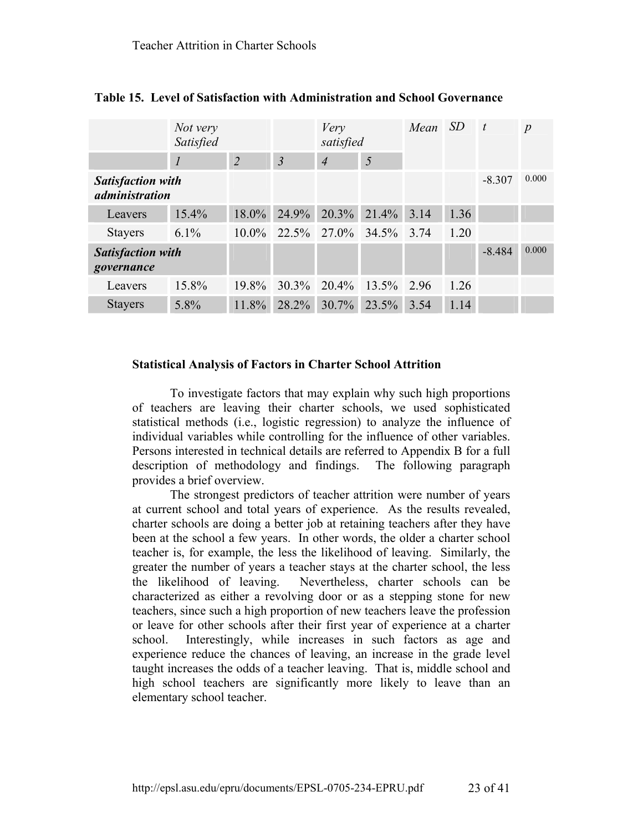|                                            | Not very<br>Satisfied |                |                | Very<br>satisfied |          | Mean SD |      | $\boldsymbol{t}$ | $\boldsymbol{p}$ |
|--------------------------------------------|-----------------------|----------------|----------------|-------------------|----------|---------|------|------------------|------------------|
|                                            | 1                     | $\overline{2}$ | $\mathfrak{Z}$ | $\overline{4}$    | 5        |         |      |                  |                  |
| <b>Satisfaction with</b><br>administration |                       |                |                |                   |          |         |      | $-8.307$         | 0.000            |
| Leavers                                    | 15.4%                 | $18.0\%$       | 24.9%          | 20.3%             | $21.4\%$ | 3.14    | 1.36 |                  |                  |
| <b>Stayers</b>                             | $6.1\%$               | $10.0\%$       |                | 22.5% 27.0% 34.5% |          | 3.74    | 1.20 |                  |                  |
| <b>Satisfaction with</b><br>governance     |                       |                |                |                   |          |         |      | $-8.484$         | 0.000            |
| Leavers                                    | 15.8%                 | 19.8%          | $30.3\%$       | 20.4%             | 13.5%    | 2.96    | 1.26 |                  |                  |
| <b>Stayers</b>                             | 5.8%                  | 11.8%          | 28.2%          | $30.7\%$          | 23.5%    | 3.54    | 1.14 |                  |                  |

**Table 15. Level of Satisfaction with Administration and School Governance** 

#### **Statistical Analysis of Factors in Charter School Attrition**

To investigate factors that may explain why such high proportions of teachers are leaving their charter schools, we used sophisticated statistical methods (i.e., logistic regression) to analyze the influence of individual variables while controlling for the influence of other variables. Persons interested in technical details are referred to Appendix B for a full description of methodology and findings. The following paragraph provides a brief overview.

The strongest predictors of teacher attrition were number of years at current school and total years of experience. As the results revealed, charter schools are doing a better job at retaining teachers after they have been at the school a few years. In other words, the older a charter school teacher is, for example, the less the likelihood of leaving. Similarly, the greater the number of years a teacher stays at the charter school, the less the likelihood of leaving. Nevertheless, charter schools can be characterized as either a revolving door or as a stepping stone for new teachers, since such a high proportion of new teachers leave the profession or leave for other schools after their first year of experience at a charter school. Interestingly, while increases in such factors as age and experience reduce the chances of leaving, an increase in the grade level taught increases the odds of a teacher leaving. That is, middle school and high school teachers are significantly more likely to leave than an elementary school teacher.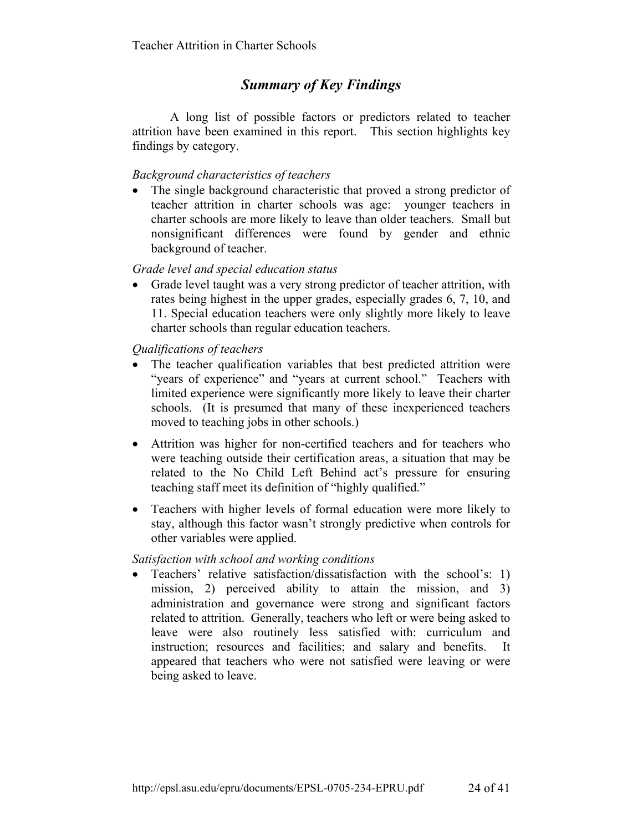# *Summary of Key Findings*

A long list of possible factors or predictors related to teacher attrition have been examined in this report. This section highlights key findings by category.

# *Background characteristics of teachers*

• The single background characteristic that proved a strong predictor of teacher attrition in charter schools was age: younger teachers in charter schools are more likely to leave than older teachers. Small but nonsignificant differences were found by gender and ethnic background of teacher.

# *Grade level and special education status*

• Grade level taught was a very strong predictor of teacher attrition, with rates being highest in the upper grades, especially grades 6, 7, 10, and 11. Special education teachers were only slightly more likely to leave charter schools than regular education teachers.

 *Qualifications of teachers* 

- The teacher qualification variables that best predicted attrition were "years of experience" and "years at current school." Teachers with limited experience were significantly more likely to leave their charter schools. (It is presumed that many of these inexperienced teachers moved to teaching jobs in other schools.)
- Attrition was higher for non-certified teachers and for teachers who were teaching outside their certification areas, a situation that may be related to the No Child Left Behind act's pressure for ensuring teaching staff meet its definition of "highly qualified."
- Teachers with higher levels of formal education were more likely to stay, although this factor wasn't strongly predictive when controls for other variables were applied.

# *Satisfaction with school and working conditions*

• Teachers' relative satisfaction/dissatisfaction with the school's: 1) mission, 2) perceived ability to attain the mission, and 3) administration and governance were strong and significant factors related to attrition. Generally, teachers who left or were being asked to leave were also routinely less satisfied with: curriculum and instruction; resources and facilities; and salary and benefits. It appeared that teachers who were not satisfied were leaving or were being asked to leave.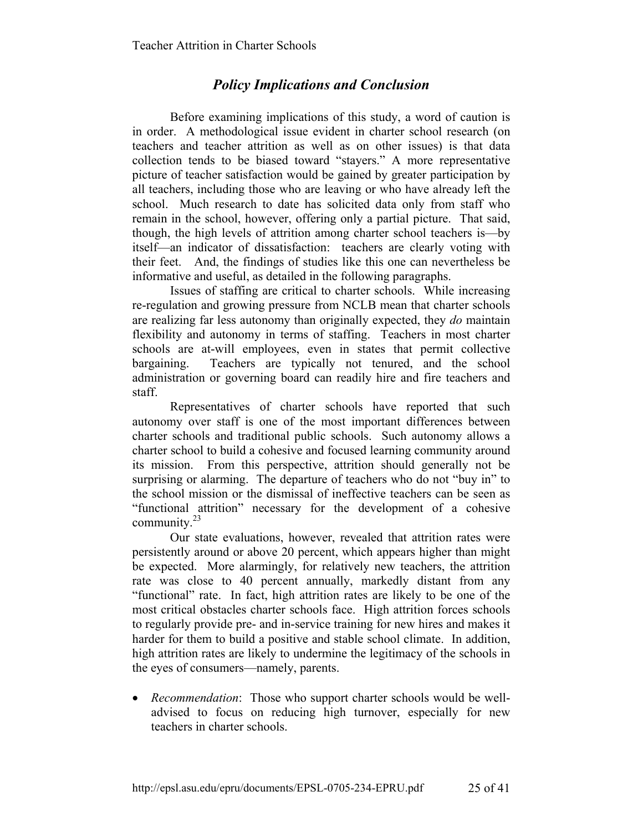# *Policy Implications and Conclusion*

Before examining implications of this study, a word of caution is in order. A methodological issue evident in charter school research (on teachers and teacher attrition as well as on other issues) is that data collection tends to be biased toward "stayers." A more representative picture of teacher satisfaction would be gained by greater participation by all teachers, including those who are leaving or who have already left the school. Much research to date has solicited data only from staff who remain in the school, however, offering only a partial picture. That said, though, the high levels of attrition among charter school teachers is—by itself—an indicator of dissatisfaction: teachers are clearly voting with their feet. And, the findings of studies like this one can nevertheless be informative and useful, as detailed in the following paragraphs.

Issues of staffing are critical to charter schools. While increasing re-regulation and growing pressure from NCLB mean that charter schools are realizing far less autonomy than originally expected, they *do* maintain flexibility and autonomy in terms of staffing. Teachers in most charter schools are at-will employees, even in states that permit collective bargaining. Teachers are typically not tenured, and the school administration or governing board can readily hire and fire teachers and staff.

Representatives of charter schools have reported that such autonomy over staff is one of the most important differences between charter schools and traditional public schools. Such autonomy allows a charter school to build a cohesive and focused learning community around its mission. From this perspective, attrition should generally not be surprising or alarming. The departure of teachers who do not "buy in" to the school mission or the dismissal of ineffective teachers can be seen as "functional attrition" necessary for the development of a cohesive community.<sup>23</sup>

Our state evaluations, however, revealed that attrition rates were persistently around or above 20 percent, which appears higher than might be expected. More alarmingly, for relatively new teachers, the attrition rate was close to 40 percent annually, markedly distant from any "functional" rate. In fact, high attrition rates are likely to be one of the most critical obstacles charter schools face. High attrition forces schools to regularly provide pre- and in-service training for new hires and makes it harder for them to build a positive and stable school climate. In addition, high attrition rates are likely to undermine the legitimacy of the schools in the eyes of consumers—namely, parents.

• *Recommendation*: Those who support charter schools would be welladvised to focus on reducing high turnover, especially for new teachers in charter schools.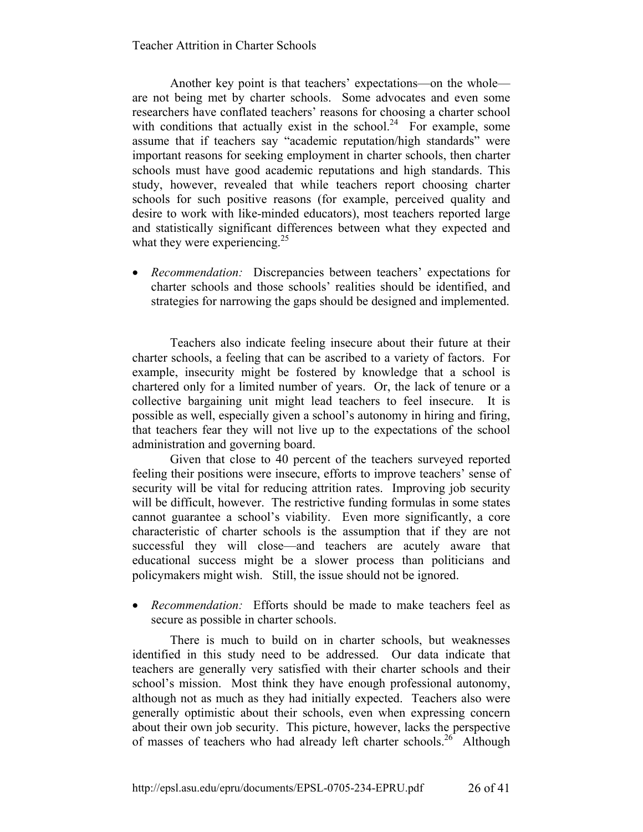Another key point is that teachers' expectations—on the whole are not being met by charter schools. Some advocates and even some researchers have conflated teachers' reasons for choosing a charter school with conditions that actually exist in the school.<sup>24</sup> For example, some assume that if teachers say "academic reputation/high standards" were important reasons for seeking employment in charter schools, then charter schools must have good academic reputations and high standards. This study, however, revealed that while teachers report choosing charter schools for such positive reasons (for example, perceived quality and desire to work with like-minded educators), most teachers reported large and statistically significant differences between what they expected and what they were experiencing. $25$ 

• *Recommendation:* Discrepancies between teachers' expectations for charter schools and those schools' realities should be identified, and strategies for narrowing the gaps should be designed and implemented.

Teachers also indicate feeling insecure about their future at their charter schools, a feeling that can be ascribed to a variety of factors. For example, insecurity might be fostered by knowledge that a school is chartered only for a limited number of years. Or, the lack of tenure or a collective bargaining unit might lead teachers to feel insecure. It is possible as well, especially given a school's autonomy in hiring and firing, that teachers fear they will not live up to the expectations of the school administration and governing board.

Given that close to 40 percent of the teachers surveyed reported feeling their positions were insecure, efforts to improve teachers' sense of security will be vital for reducing attrition rates. Improving job security will be difficult, however. The restrictive funding formulas in some states cannot guarantee a school's viability. Even more significantly, a core characteristic of charter schools is the assumption that if they are not successful they will close—and teachers are acutely aware that educational success might be a slower process than politicians and policymakers might wish. Still, the issue should not be ignored.

• *Recommendation:* Efforts should be made to make teachers feel as secure as possible in charter schools.

There is much to build on in charter schools, but weaknesses identified in this study need to be addressed. Our data indicate that teachers are generally very satisfied with their charter schools and their school's mission. Most think they have enough professional autonomy, although not as much as they had initially expected. Teachers also were generally optimistic about their schools, even when expressing concern about their own job security. This picture, however, lacks the perspective of masses of teachers who had already left charter schools.<sup>26</sup> Although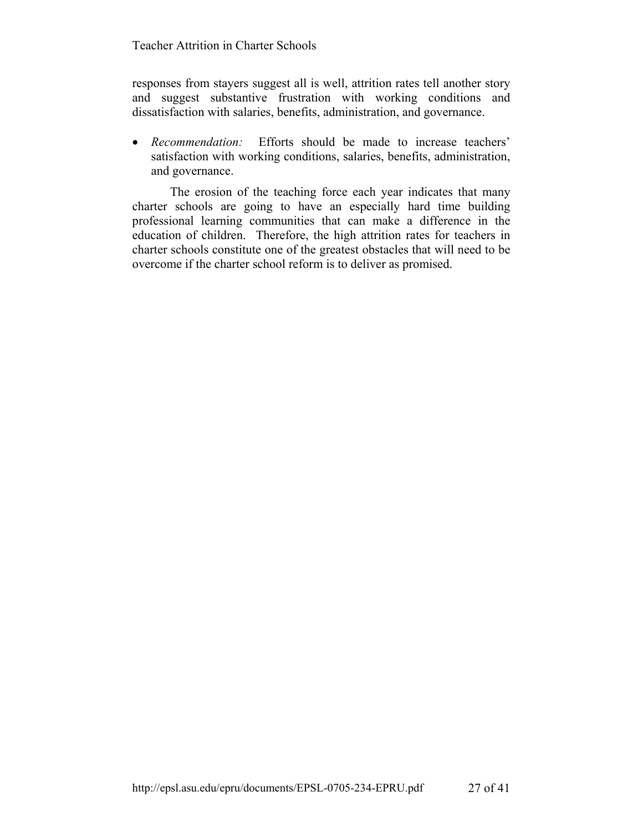responses from stayers suggest all is well, attrition rates tell another story and suggest substantive frustration with working conditions and dissatisfaction with salaries, benefits, administration, and governance.

• *Recommendation:* Efforts should be made to increase teachers' satisfaction with working conditions, salaries, benefits, administration, and governance.

The erosion of the teaching force each year indicates that many charter schools are going to have an especially hard time building professional learning communities that can make a difference in the education of children. Therefore, the high attrition rates for teachers in charter schools constitute one of the greatest obstacles that will need to be overcome if the charter school reform is to deliver as promised.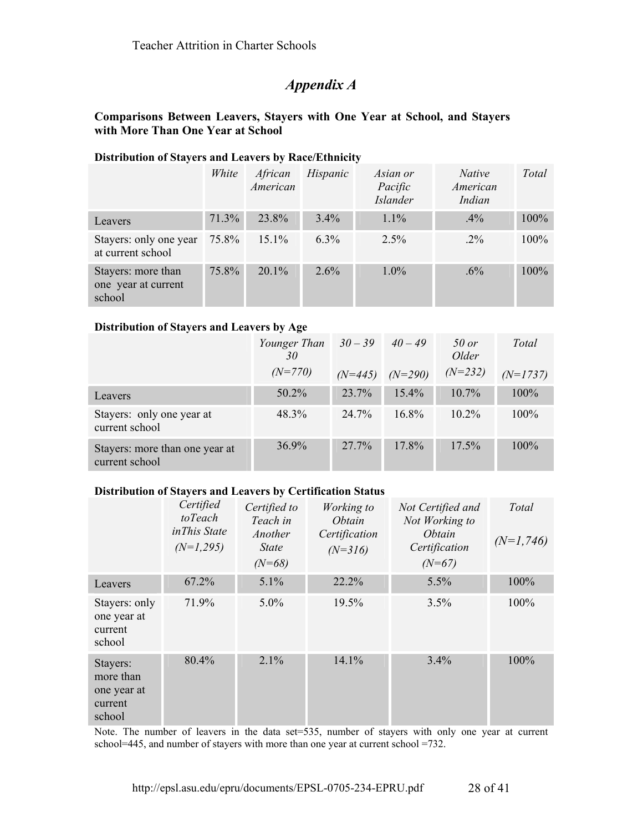# *Appendix A*

### **Comparisons Between Leavers, Stayers with One Year at School, and Stayers with More Than One Year at School**

#### **Distribution of Stayers and Leavers by Race/Ethnicity**

|                                                     | White | African<br>American | Hispanic | Asian or<br>Pacific<br><b>Islander</b> | <i>Native</i><br>American<br>Indian | Total   |
|-----------------------------------------------------|-------|---------------------|----------|----------------------------------------|-------------------------------------|---------|
| Leavers                                             | 71.3% | 23.8%               | $3.4\%$  | $1.1\%$                                | $.4\%$                              | $100\%$ |
| Stayers: only one year<br>at current school         | 75.8% | $15.1\%$            | $6.3\%$  | $2.5\%$                                | $.2\%$                              | $100\%$ |
| Stayers: more than<br>one year at current<br>school | 75.8% | $20.1\%$            | $2.6\%$  | $1.0\%$                                | $.6\%$                              | 100%    |

#### **Distribution of Stayers and Leavers by Age**

|                                                  | Younger Than $30-39$<br>30 |           | $40 - 49$ | $50$ or<br>Older | Total      |
|--------------------------------------------------|----------------------------|-----------|-----------|------------------|------------|
|                                                  | $(N=770)$                  | $(N=445)$ | $(N=290)$ | $(N=232)$        | $(N=1737)$ |
| Leavers                                          | 50.2%                      | 23.7%     | $15.4\%$  | $10.7\%$         | 100%       |
| Stayers: only one year at<br>current school      | 48.3%                      | 24 7%     | $16.8\%$  | $10.2\%$         | 100%       |
| Stayers: more than one year at<br>current school | $36.9\%$                   | 27.7%     | 17.8%     | $17.5\%$         | $100\%$    |

#### **Distribution of Stayers and Leavers by Certification Status**

|                                                           | Certified<br>toTeach<br>inThis State<br>$(N=1,295)$ | Certified to<br>Teach in<br>Another<br><b>State</b><br>$(N=68)$ | Working to<br><i>Obtain</i><br>Certification<br>$(N=316)$ | Not Certified and<br>Not Working to<br><i>Obtain</i><br>Certification<br>$(N=67)$ | Total<br>$(N=1,746)$ |
|-----------------------------------------------------------|-----------------------------------------------------|-----------------------------------------------------------------|-----------------------------------------------------------|-----------------------------------------------------------------------------------|----------------------|
| Leavers                                                   | 67.2%                                               | 5.1%                                                            | 22.2%                                                     | 5.5%                                                                              | 100%                 |
| Stayers: only<br>one year at<br>current<br>school         | 71.9%                                               | $5.0\%$                                                         | 19.5%                                                     | 3.5%                                                                              | 100%                 |
| Stayers:<br>more than<br>one year at<br>current<br>school | 80.4%                                               | 2.1%                                                            | 14.1%                                                     | 3.4%                                                                              | 100%                 |

Note. The number of leavers in the data set=535, number of stayers with only one year at current school=445, and number of stayers with more than one year at current school =732.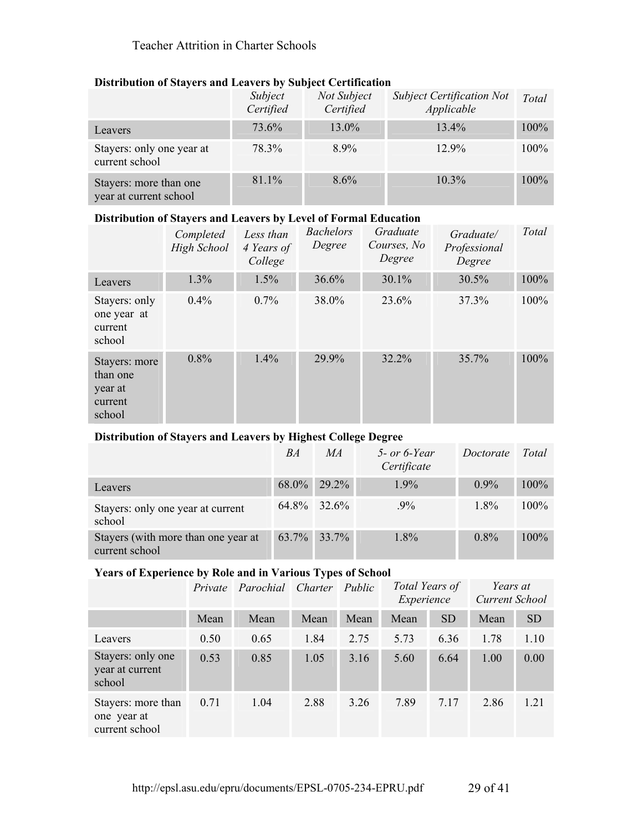| $\sim$ 10 to the contract of $\sim$ the state of $\sim$ 10 to 10 to 10 to 10 to 10 to 10 to 11 to 11 to 11 to 12 to 12 to 12 to 12 to 12 to 12 to 12 to 12 to 12 to 12 to 12 to 12 to 12 to 12 to 12 to 12 to 12 to 12 to 12 to 12 |                      |                          |                                                |         |
|------------------------------------------------------------------------------------------------------------------------------------------------------------------------------------------------------------------------------------|----------------------|--------------------------|------------------------------------------------|---------|
|                                                                                                                                                                                                                                    | Subject<br>Certified | Not Subject<br>Certified | <b>Subject Certification Not</b><br>Applicable | Total   |
| Leavers                                                                                                                                                                                                                            | 73.6%                | 13.0%                    | $13.4\%$                                       | 100%    |
| Stayers: only one year at<br>current school                                                                                                                                                                                        | 78.3%                | 8.9%                     | $12.9\%$                                       | $100\%$ |
| Stayers: more than one<br>year at current school                                                                                                                                                                                   | 81.1%                | $8.6\%$                  | $10.3\%$                                       | $100\%$ |

### **Distribution of Stayers and Leavers by Subject Certification**

#### **Distribution of Stayers and Leavers by Level of Formal Education**

|                                                           | Completed<br>High School | Less than<br>4 Years of<br>College | <b>Bachelors</b><br>Degree | Graduate<br>Courses, No.<br>Degree | Graduate/<br>Professional<br>Degree | Total |
|-----------------------------------------------------------|--------------------------|------------------------------------|----------------------------|------------------------------------|-------------------------------------|-------|
| Leavers                                                   | 1.3%                     | 1.5%                               | 36.6%                      | 30.1%                              | 30.5%                               | 100%  |
| Stayers: only<br>one year at<br>current<br>school         | $0.4\%$                  | 0.7%                               | 38.0%                      | 23.6%                              | 37.3%                               | 100%  |
| Stayers: more<br>than one<br>year at<br>current<br>school | $0.8\%$                  | 1.4%                               | 29.9%                      | 32.2%                              | 35.7%                               | 100%  |

# **Distribution of Stayers and Leavers by Highest College Degree**

|                                                       | BA | MA             | $5$ - or 6-Year<br>Certificate | Doctorate | Total   |
|-------------------------------------------------------|----|----------------|--------------------------------|-----------|---------|
| Leavers                                               |    | 68.0% 29.2%    | $1.9\%$                        | $0.9\%$   | $100\%$ |
| Stayers: only one year at current<br>school           |    | $64.8\%$ 32.6% | $.9\%$                         | $1.8\%$   | $100\%$ |
| Stayers (with more than one year at<br>current school |    | 63.7% 33.7%    | $1.8\%$                        | $0.8\%$   | $100\%$ |

### **Years of Experience by Role and in Various Types of School**

|                                                     |      | Private Parochial Charter |      | Public | Total Years of<br>Experience |           | Years at<br>Current School |           |
|-----------------------------------------------------|------|---------------------------|------|--------|------------------------------|-----------|----------------------------|-----------|
|                                                     | Mean | Mean                      | Mean | Mean   | Mean                         | <b>SD</b> | Mean                       | <b>SD</b> |
| Leavers                                             | 0.50 | 0.65                      | 1.84 | 2.75   | 5.73                         | 6.36      | 1.78                       | 1.10      |
| Stayers: only one<br>year at current<br>school      | 0.53 | 0.85                      | 1.05 | 3.16   | 5.60                         | 6.64      | 1.00                       | 0.00      |
| Stayers: more than<br>one year at<br>current school | 0.71 | 1.04                      | 2.88 | 3.26   | 7.89                         | 7.17      | 2.86                       | 1.21      |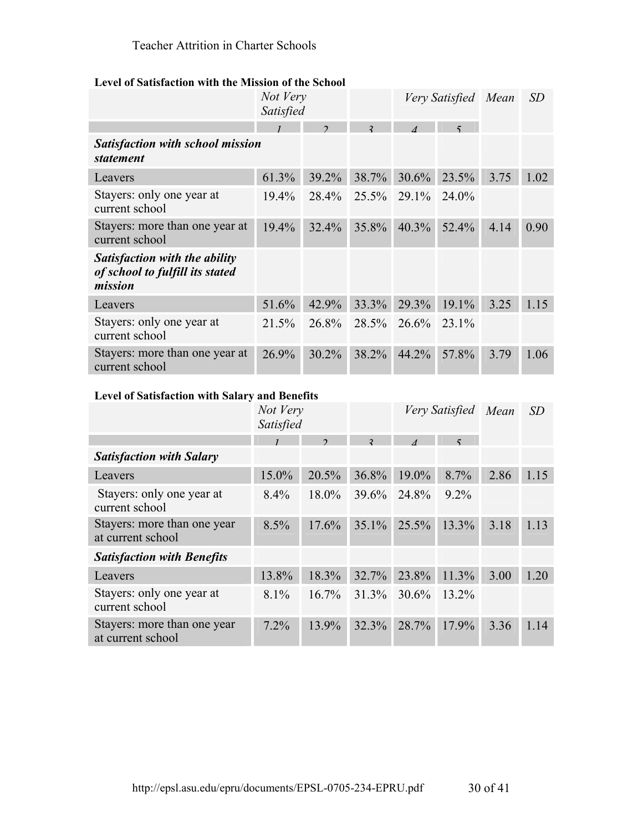#### **Level of Satisfaction with the Mission of the School**

|                                                                                    | Not Very<br>Satisfied |               |                | Very Satisfied Mean  |             |      | SD   |
|------------------------------------------------------------------------------------|-----------------------|---------------|----------------|----------------------|-------------|------|------|
|                                                                                    |                       | $\mathcal{D}$ | $\overline{2}$ | $\overline{\Lambda}$ | $\varsigma$ |      |      |
| <b>Satisfaction with school mission</b><br><i>statement</i>                        |                       |               |                |                      |             |      |      |
| Leavers                                                                            | 61.3%                 | 39.2%         | 38.7%          | $30.6\%$             | 23.5%       | 3.75 | 1.02 |
| Stayers: only one year at<br>current school                                        | 19.4%                 | 28.4%         | 25.5%          | 29.1%                | 24.0%       |      |      |
| Stayers: more than one year at<br>current school                                   | 19.4%                 | 32.4%         | 35.8%          | $40.3\%$             | 52.4%       | 4.14 | 0.90 |
| <b>Satisfaction with the ability</b><br>of school to fulfill its stated<br>mission |                       |               |                |                      |             |      |      |
| Leavers                                                                            | 51.6%                 | 42.9%         | 33.3%          | 29.3%                | 19.1%       | 3.25 | 1.15 |
| Stayers: only one year at<br>current school                                        | 21.5%                 | 26.8%         | 28.5%          | $26.6\%$             | 23.1%       |      |      |
| Stayers: more than one year at<br>current school                                   | $26.9\%$              | 30.2%         | 38.2%          | $44.2\%$             | 57.8%       | 3.79 | 1.06 |

#### **Level of Satisfaction with Salary and Benefits**

|                                                  | Not Very<br>Satisfied |               |                |          | Very Satisfied | Mean | SD   |
|--------------------------------------------------|-----------------------|---------------|----------------|----------|----------------|------|------|
|                                                  |                       | $\mathcal{L}$ | $\overline{2}$ |          |                |      |      |
| <b>Satisfaction with Salary</b>                  |                       |               |                |          |                |      |      |
| Leavers                                          | 15.0%                 | 20.5%         | 36.8%          | 19.0%    | 8.7%           | 2.86 | 1.15 |
| Stayers: only one year at<br>current school      | $8.4\%$               | 18.0%         | 39.6%          | 24.8%    | $9.2\%$        |      |      |
| Stayers: more than one year<br>at current school | 8.5%                  | $17.6\%$      | $35.1\%$       | $25.5\%$ | 13.3%          | 3.18 | 1.13 |
| <b>Satisfaction with Benefits</b>                |                       |               |                |          |                |      |      |
| Leavers                                          | 13.8%                 | 18.3%         | 32.7%          | 23.8%    | 11.3%          | 3.00 | 1.20 |
| Stayers: only one year at<br>current school      | 8.1%                  | $16.7\%$      | 31.3%          | 30.6%    | 13.2%          |      |      |
| Stayers: more than one year<br>at current school | 7.2%                  | 13.9%         | 32.3%          | 28.7%    | 17.9%          | 3.36 | 1.14 |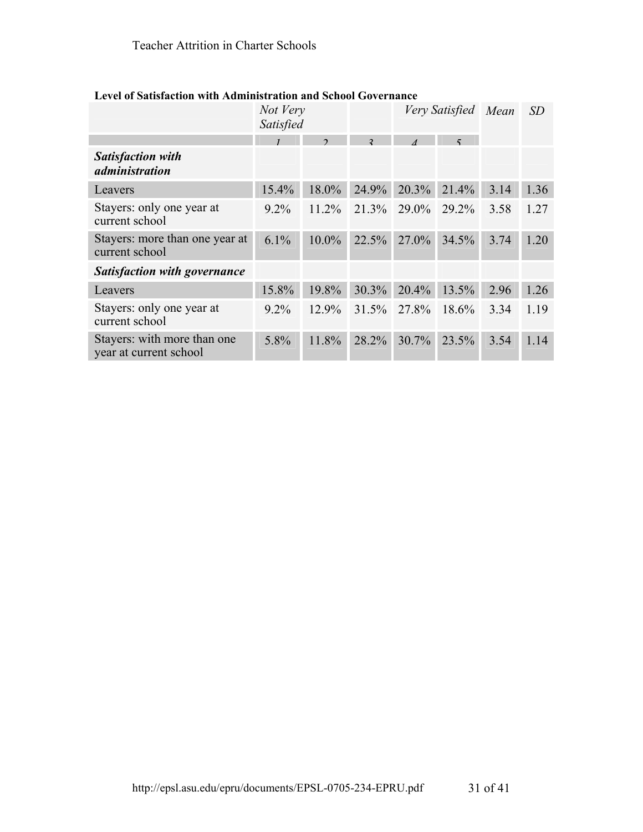|                                                       | Not Very<br>Satisfied |          |                | Very Satisfied |       | Mean | SD   |
|-------------------------------------------------------|-----------------------|----------|----------------|----------------|-------|------|------|
|                                                       |                       | C        | $\mathfrak{D}$ |                |       |      |      |
| <b>Satisfaction with</b><br><i>administration</i>     |                       |          |                |                |       |      |      |
| Leavers                                               | 15.4%                 | 18.0%    | 24.9%          | $20.3\%$       | 21.4% | 3.14 | 1.36 |
| Stayers: only one year at<br>current school           | $9.2\%$               | 11.2%    | 21.3%          | 29.0%          | 29.2% | 3.58 | 1.27 |
| Stayers: more than one year at<br>current school      | $6.1\%$               | $10.0\%$ | 22.5%          | $27.0\%$       | 34.5% | 3.74 | 1.20 |
| <b>Satisfaction with governance</b>                   |                       |          |                |                |       |      |      |
| Leavers                                               | 15.8%                 | 19.8%    | 30.3%          | 20.4%          | 13.5% | 2.96 | 1.26 |
| Stayers: only one year at<br>current school           | $9.2\%$               | 12.9%    |                | 31.5% 27.8%    | 18.6% | 3.34 | 1.19 |
| Stayers: with more than one<br>year at current school | 5.8%                  | 11.8%    | 28.2%          | $30.7\%$       | 23.5% | 3.54 | 1.14 |

# **Level of Satisfaction with Administration and School Governance**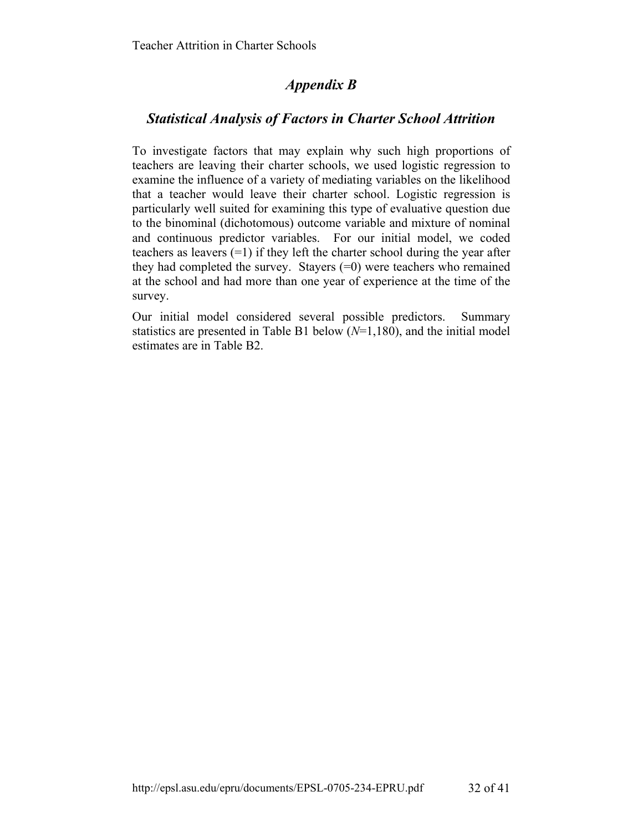# *Appendix B*

# *Statistical Analysis of Factors in Charter School Attrition*

To investigate factors that may explain why such high proportions of teachers are leaving their charter schools, we used logistic regression to examine the influence of a variety of mediating variables on the likelihood that a teacher would leave their charter school. Logistic regression is particularly well suited for examining this type of evaluative question due to the binominal (dichotomous) outcome variable and mixture of nominal and continuous predictor variables. For our initial model, we coded teachers as leavers (=1) if they left the charter school during the year after they had completed the survey. Stayers (=0) were teachers who remained at the school and had more than one year of experience at the time of the survey.

Our initial model considered several possible predictors. Summary statistics are presented in Table B1 below (*N*=1,180), and the initial model estimates are in Table B2.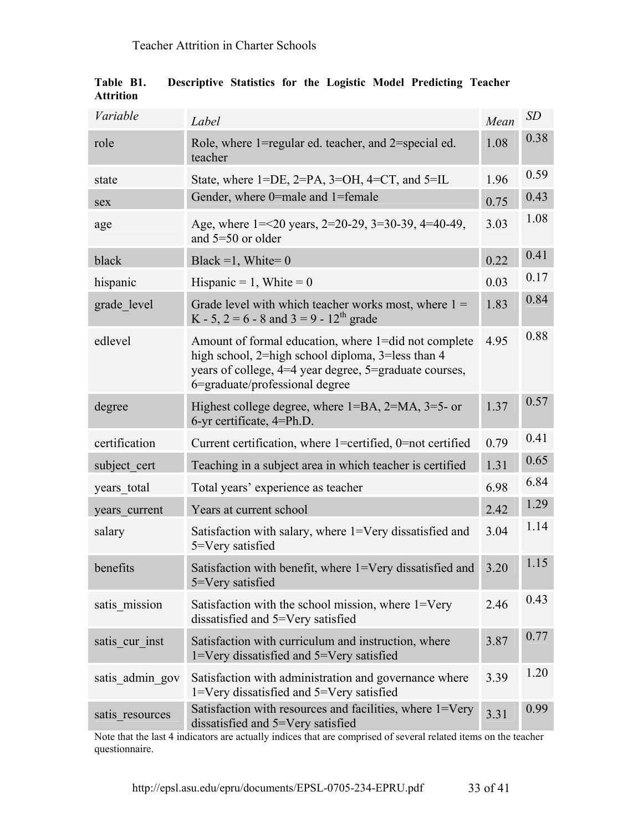| Variable        | Label                                                                                                                                                                                                 | Mean | SD   |
|-----------------|-------------------------------------------------------------------------------------------------------------------------------------------------------------------------------------------------------|------|------|
| role            | Role, where 1=regular ed. teacher, and 2=special ed.<br>teacher                                                                                                                                       | 1.08 | 0.38 |
| state           | State, where $1 = DE$ , $2 = PA$ , $3 = OH$ , $4 = CT$ , and $5 = IL$                                                                                                                                 | 1.96 | 0.59 |
| sex             | Gender, where 0=male and 1=female                                                                                                                                                                     | 0.75 | 0.43 |
| age             | Age, where $1 = 20$ years, $2 = 20-29$ , $3 = 30-39$ , $4 = 40-49$ ,<br>and $5=50$ or older                                                                                                           | 3.03 | 1.08 |
| black           | Black =1, White= $0$                                                                                                                                                                                  | 0.22 | 0.41 |
| hispanic        | Hispanic = 1, White = $0$                                                                                                                                                                             | 0.03 | 0.17 |
| grade level     | Grade level with which teacher works most, where $1 =$<br>K - 5, 2 = 6 - 8 and 3 = 9 - 12 <sup>th</sup> grade                                                                                         | 1.83 | 0.84 |
| edlevel         | Amount of formal education, where 1=did not complete<br>high school, 2=high school diploma, 3=less than 4<br>years of college, 4=4 year degree, 5=graduate courses,<br>6=graduate/professional degree | 4.95 | 0.88 |
| degree          | Highest college degree, where $1=BA$ , $2=MA$ , $3=5$ - or<br>6-yr certificate, 4=Ph.D.                                                                                                               | 1.37 | 0.57 |
| certification   | Current certification, where 1=certified, 0=not certified                                                                                                                                             | 0.79 | 0.41 |
| subject cert    | Teaching in a subject area in which teacher is certified                                                                                                                                              | 1.31 | 0.65 |
| years total     | Total years' experience as teacher                                                                                                                                                                    | 6.98 | 6.84 |
| years current   | Years at current school                                                                                                                                                                               | 2.42 | 1.29 |
| salary          | Satisfaction with salary, where 1=Very dissatisfied and<br>5=Very satisfied                                                                                                                           | 3.04 | 1.14 |
| benefits        | Satisfaction with benefit, where 1=Very dissatisfied and<br>5=Very satisfied                                                                                                                          | 3.20 | 1.15 |
| satis mission   | Satisfaction with the school mission, where 1=Very<br>dissatisfied and 5=Very satisfied                                                                                                               | 2.46 | 0.43 |
| satis cur inst  | Satisfaction with curriculum and instruction, where<br>1=Very dissatisfied and 5=Very satisfied                                                                                                       | 3.87 | 0.77 |
| satis admin gov | Satisfaction with administration and governance where<br>1=Very dissatisfied and 5=Very satisfied                                                                                                     | 3.39 | 1.20 |
| satis resources | Satisfaction with resources and facilities, where 1=Very<br>dissatisfied and 5=Very satisfied                                                                                                         | 3.31 | 0.99 |

**Table B1. Descriptive Statistics for the Logistic Model Predicting Teacher Attrition** 

Note that the last 4 indicators are actually indices that are comprised of several related items on the teacher questionnaire.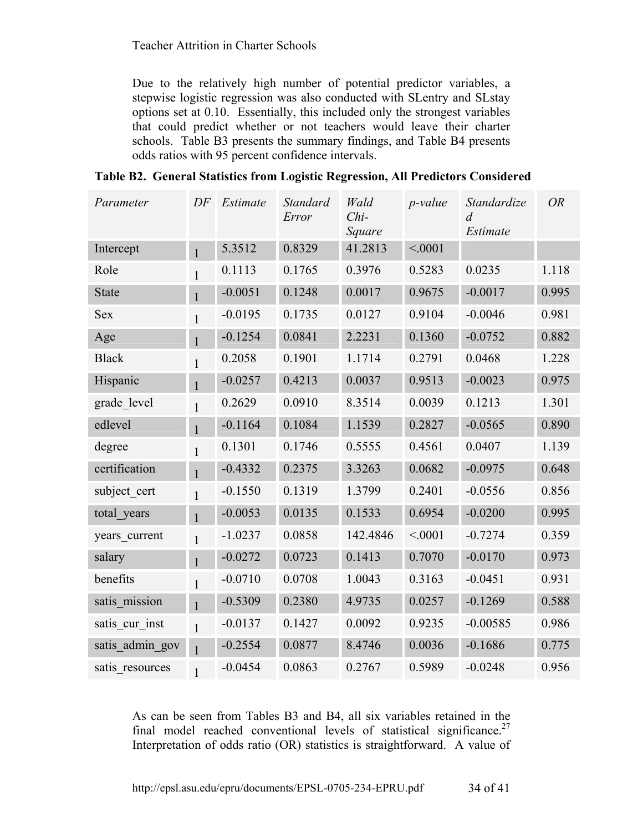Due to the relatively high number of potential predictor variables, a stepwise logistic regression was also conducted with SLentry and SLstay options set at 0.10. Essentially, this included only the strongest variables that could predict whether or not teachers would leave their charter schools. Table B3 presents the summary findings, and Table B4 presents odds ratios with 95 percent confidence intervals.

| Table B2. General Statistics from Logistic Regression, All Predictors Considered |  |  |  |
|----------------------------------------------------------------------------------|--|--|--|
|                                                                                  |  |  |  |

| Parameter       | DF           | Estimate  | <b>Standard</b><br>Error | Wald<br>$Chi-$<br>Square | $p$ -value | Standardize<br>$\overline{d}$<br>Estimate | <b>OR</b> |
|-----------------|--------------|-----------|--------------------------|--------------------------|------------|-------------------------------------------|-----------|
| Intercept       | $\mathbf{1}$ | 5.3512    | 0.8329                   | 41.2813                  | < 0001     |                                           |           |
| Role            | $\mathbf{1}$ | 0.1113    | 0.1765                   | 0.3976                   | 0.5283     | 0.0235                                    | 1.118     |
| <b>State</b>    | $\mathbf{1}$ | $-0.0051$ | 0.1248                   | 0.0017                   | 0.9675     | $-0.0017$                                 | 0.995     |
| <b>Sex</b>      | $\mathbf{1}$ | $-0.0195$ | 0.1735                   | 0.0127                   | 0.9104     | $-0.0046$                                 | 0.981     |
| Age             | $\mathbf{1}$ | $-0.1254$ | 0.0841                   | 2.2231                   | 0.1360     | $-0.0752$                                 | 0.882     |
| <b>Black</b>    | $\mathbf{1}$ | 0.2058    | 0.1901                   | 1.1714                   | 0.2791     | 0.0468                                    | 1.228     |
| Hispanic        | $\mathbf{1}$ | $-0.0257$ | 0.4213                   | 0.0037                   | 0.9513     | $-0.0023$                                 | 0.975     |
| grade level     | $\mathbf{1}$ | 0.2629    | 0.0910                   | 8.3514                   | 0.0039     | 0.1213                                    | 1.301     |
| edlevel         | $\mathbf{1}$ | $-0.1164$ | 0.1084                   | 1.1539                   | 0.2827     | $-0.0565$                                 | 0.890     |
| degree          | $\mathbf{1}$ | 0.1301    | 0.1746                   | 0.5555                   | 0.4561     | 0.0407                                    | 1.139     |
| certification   | $\mathbf{1}$ | $-0.4332$ | 0.2375                   | 3.3263                   | 0.0682     | $-0.0975$                                 | 0.648     |
| subject cert    | $\mathbf{1}$ | $-0.1550$ | 0.1319                   | 1.3799                   | 0.2401     | $-0.0556$                                 | 0.856     |
| total years     | $\mathbf{1}$ | $-0.0053$ | 0.0135                   | 0.1533                   | 0.6954     | $-0.0200$                                 | 0.995     |
| years current   | 1            | $-1.0237$ | 0.0858                   | 142.4846                 | < 0001     | $-0.7274$                                 | 0.359     |
| salary          | $\mathbf{1}$ | $-0.0272$ | 0.0723                   | 0.1413                   | 0.7070     | $-0.0170$                                 | 0.973     |
| benefits        | $\mathbf{1}$ | $-0.0710$ | 0.0708                   | 1.0043                   | 0.3163     | $-0.0451$                                 | 0.931     |
| satis_mission   | $\mathbf{1}$ | $-0.5309$ | 0.2380                   | 4.9735                   | 0.0257     | $-0.1269$                                 | 0.588     |
| satis cur inst  | $\mathbf{1}$ | $-0.0137$ | 0.1427                   | 0.0092                   | 0.9235     | $-0.00585$                                | 0.986     |
| satis_admin_gov | $\mathbf{1}$ | $-0.2554$ | 0.0877                   | 8.4746                   | 0.0036     | $-0.1686$                                 | 0.775     |
| satis resources | $\mathbf{1}$ | $-0.0454$ | 0.0863                   | 0.2767                   | 0.5989     | $-0.0248$                                 | 0.956     |

As can be seen from Tables B3 and B4, all six variables retained in the final model reached conventional levels of statistical significance.<sup>27</sup> Interpretation of odds ratio (OR) statistics is straightforward. A value of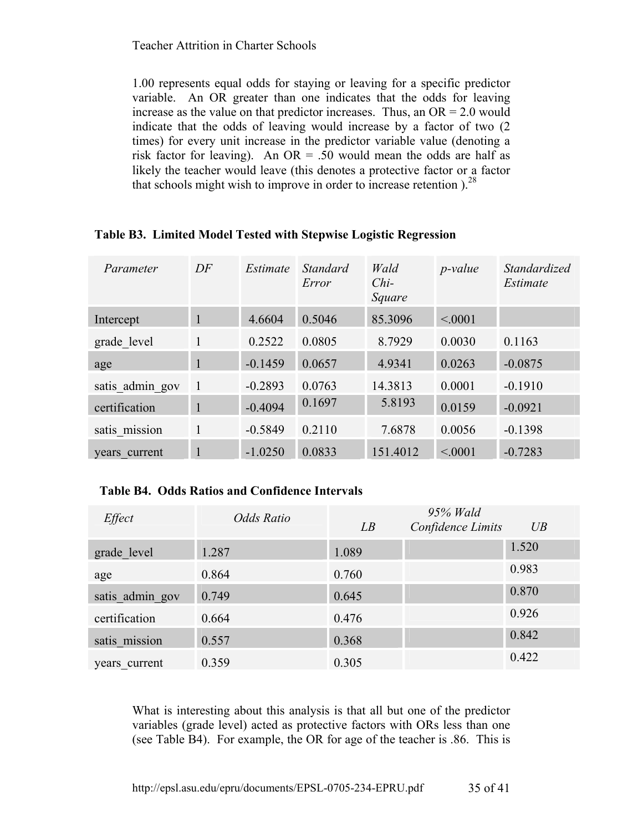1.00 represents equal odds for staying or leaving for a specific predictor variable. An OR greater than one indicates that the odds for leaving increase as the value on that predictor increases. Thus, an  $OR = 2.0$  would indicate that the odds of leaving would increase by a factor of two (2 times) for every unit increase in the predictor variable value (denoting a risk factor for leaving). An OR = .50 would mean the odds are half as likely the teacher would leave (this denotes a protective factor or a factor that schools might wish to improve in order to increase retention  $1^{28}$ 

| Parameter       | DF             | Estimate  | Standard<br>Error | Wald<br>$Chi-$<br>Square | <i>p</i> -value | Standardized<br>Estimate |
|-----------------|----------------|-----------|-------------------|--------------------------|-----------------|--------------------------|
| Intercept       | $\mathbf{1}$   | 4.6604    | 0.5046            | 85.3096                  | < 0001          |                          |
| grade level     | $\mathbf{1}$   | 0.2522    | 0.0805            | 8.7929                   | 0.0030          | 0.1163                   |
| age             | $\mathbf{1}$   | $-0.1459$ | 0.0657            | 4.9341                   | 0.0263          | $-0.0875$                |
| satis admin gov | $\overline{1}$ | $-0.2893$ | 0.0763            | 14.3813                  | 0.0001          | $-0.1910$                |
| certification   | $\mathbf{1}$   | $-0.4094$ | 0.1697            | 5.8193                   | 0.0159          | $-0.0921$                |
| satis mission   | $\mathbf{1}$   | $-0.5849$ | 0.2110            | 7.6878                   | 0.0056          | $-0.1398$                |
| years current   | 1              | $-1.0250$ | 0.0833            | 151.4012                 | < 0001          | $-0.7283$                |

# **Table B3. Limited Model Tested with Stepwise Logistic Regression**

# **Table B4. Odds Ratios and Confidence Intervals**

| Effect          | Odds Ratio | LB    | 95% Wald<br>Confidence Limits | UB    |
|-----------------|------------|-------|-------------------------------|-------|
| grade level     | 1.287      | 1.089 |                               | 1.520 |
| age             | 0.864      | 0.760 |                               | 0.983 |
| satis admin gov | 0.749      | 0.645 |                               | 0.870 |
| certification   | 0.664      | 0.476 |                               | 0.926 |
| satis mission   | 0.557      | 0.368 |                               | 0.842 |
| years current   | 0.359      | 0.305 |                               | 0.422 |

What is interesting about this analysis is that all but one of the predictor variables (grade level) acted as protective factors with ORs less than one (see Table B4). For example, the OR for age of the teacher is .86. This is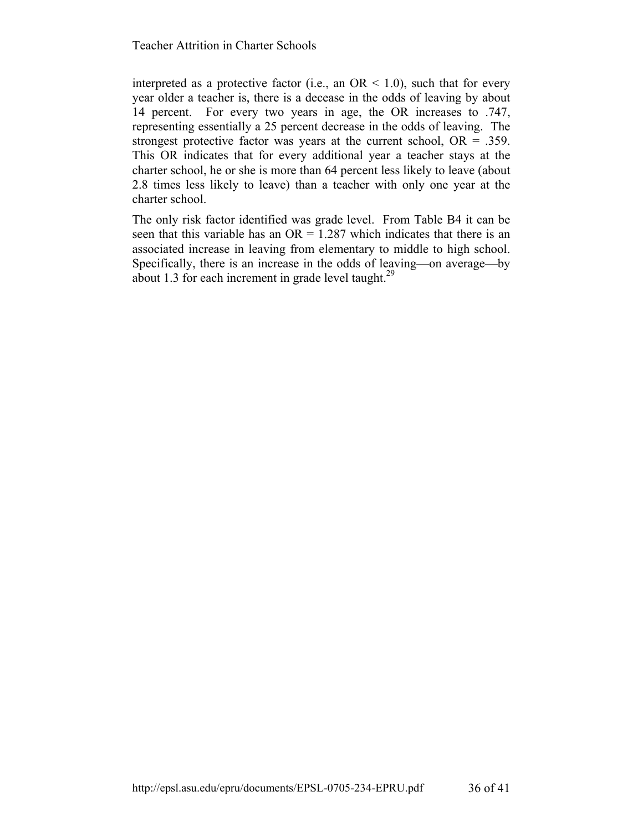interpreted as a protective factor (i.e., an  $OR < 1.0$ ), such that for every year older a teacher is, there is a decease in the odds of leaving by about 14 percent. For every two years in age, the OR increases to .747, representing essentially a 25 percent decrease in the odds of leaving. The strongest protective factor was years at the current school,  $OR = .359$ . This OR indicates that for every additional year a teacher stays at the charter school, he or she is more than 64 percent less likely to leave (about 2.8 times less likely to leave) than a teacher with only one year at the charter school.

The only risk factor identified was grade level. From Table B4 it can be seen that this variable has an  $OR = 1.287$  which indicates that there is an associated increase in leaving from elementary to middle to high school. Specifically, there is an increase in the odds of leaving—on average—by about 1.3 for each increment in grade level taught. $29$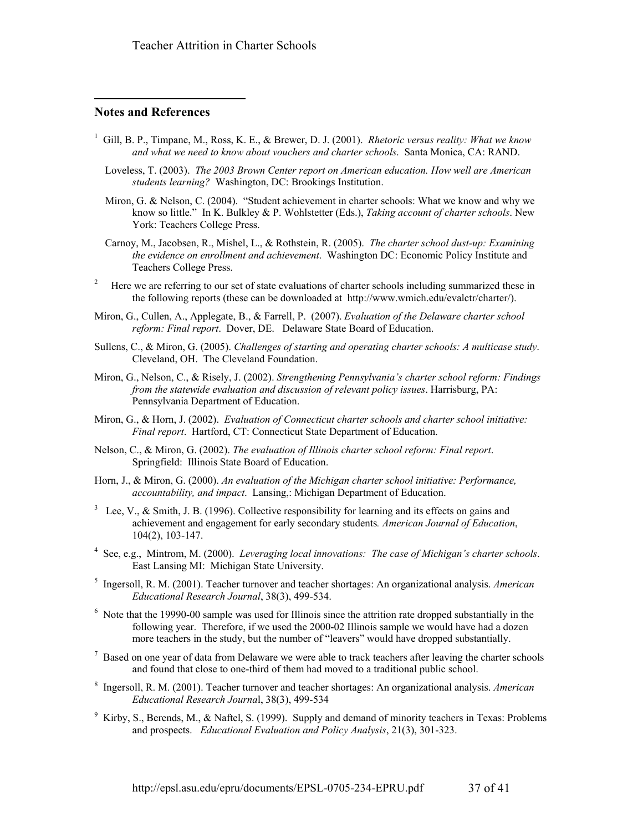#### **Notes and References**

 $\overline{a}$ 

- 1 Gill, B. P., Timpane, M., Ross, K. E., & Brewer, D. J. (2001). *Rhetoric versus reality: What we know and what we need to know about vouchers and charter schools*. Santa Monica, CA: RAND.
	- Loveless, T. (2003). *The 2003 Brown Center report on American education. How well are American students learning?* Washington, DC: Brookings Institution.
	- Miron, G. & Nelson, C. (2004). "Student achievement in charter schools: What we know and why we know so little." In K. Bulkley & P. Wohlstetter (Eds.), *Taking account of charter schools*. New York: Teachers College Press.
	- Carnoy, M., Jacobsen, R., Mishel, L., & Rothstein, R. (2005). *The charter school dust-up: Examining the evidence on enrollment and achievement*. Washington DC: Economic Policy Institute and Teachers College Press.
- 2 Here we are referring to our set of state evaluations of charter schools including summarized these in the following reports (these can be downloaded at http://www.wmich.edu/evalctr/charter/).
- Miron, G., Cullen, A., Applegate, B., & Farrell, P. (2007). *Evaluation of the Delaware charter school reform: Final report*. Dover, DE. Delaware State Board of Education.
- Sullens, C., & Miron, G. (2005). *Challenges of starting and operating charter schools: A multicase study*. Cleveland, OH. The Cleveland Foundation.
- Miron, G., Nelson, C., & Risely, J. (2002). *Strengthening Pennsylvania's charter school reform: Findings from the statewide evaluation and discussion of relevant policy issues*. Harrisburg, PA: Pennsylvania Department of Education.
- Miron, G., & Horn, J. (2002). *Evaluation of Connecticut charter schools and charter school initiative: Final report*. Hartford, CT: Connecticut State Department of Education.
- Nelson, C., & Miron, G. (2002). *The evaluation of Illinois charter school reform: Final report*. Springfield: Illinois State Board of Education.
- Horn, J., & Miron, G. (2000). *An evaluation of the Michigan charter school initiative: Performance, accountability, and impact*. Lansing,: Michigan Department of Education.
- $3$  Lee, V., & Smith, J. B. (1996). Collective responsibility for learning and its effects on gains and achievement and engagement for early secondary students*. American Journal of Education*, 104(2), 103-147.
- 4 See, e.g., Mintrom, M. (2000). *Leveraging local innovations: The case of Michigan's charter schools*. East Lansing MI: Michigan State University.
- 5 Ingersoll, R. M. (2001). Teacher turnover and teacher shortages: An organizational analysis. *American Educational Research Journal*, 38(3), 499-534.
- <sup>6</sup> Note that the 19990-00 sample was used for Illinois since the attrition rate dropped substantially in the following year. Therefore, if we used the 2000-02 Illinois sample we would have had a dozen more teachers in the study, but the number of "leavers" would have dropped substantially.
- $7$  Based on one year of data from Delaware we were able to track teachers after leaving the charter schools and found that close to one-third of them had moved to a traditional public school.
- 8 Ingersoll, R. M. (2001). Teacher turnover and teacher shortages: An organizational analysis. *American Educational Research Journa*l, 38(3), 499-534
- <sup>9</sup> Kirby, S., Berends, M., & Naftel, S. (1999). Supply and demand of minority teachers in Texas: Problems and prospects. *Educational Evaluation and Policy Analysis*, 21(3), 301-323.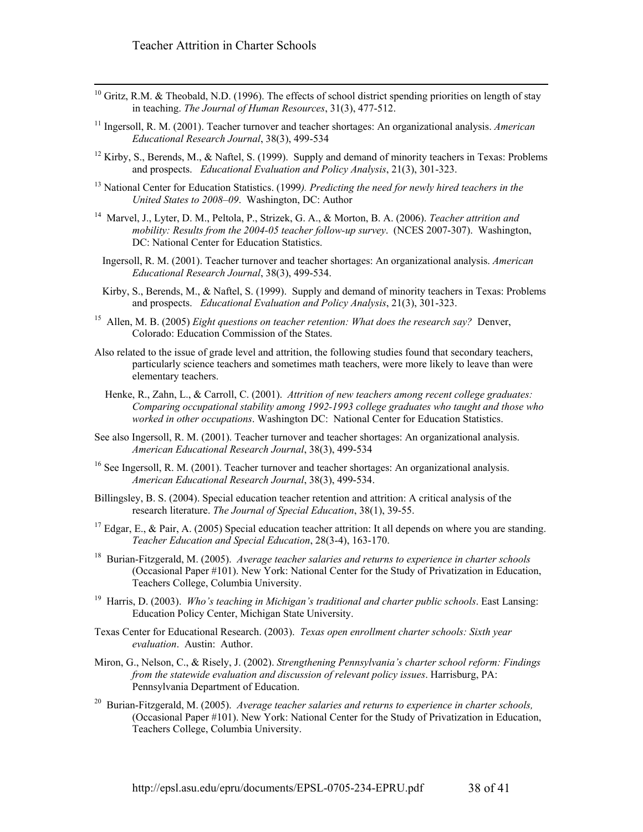- <sup>10</sup> Gritz, R.M. & Theobald, N.D. (1996). The effects of school district spending priorities on length of stay in teaching. *The Journal of Human Resources*, 31(3), 477-512.
- 11 Ingersoll, R. M. (2001). Teacher turnover and teacher shortages: An organizational analysis. *American Educational Research Journal*, 38(3), 499-534
- <sup>12</sup> Kirby, S., Berends, M., & Naftel, S. (1999). Supply and demand of minority teachers in Texas: Problems and prospects. *Educational Evaluation and Policy Analysis*, 21(3), 301-323.
- 13 National Center for Education Statistics. (1999*). Predicting the need for newly hired teachers in the United States to 2008–09*. Washington, DC: Author
- 14 Marvel, J., Lyter, D. M., Peltola, P., Strizek, G. A., & Morton, B. A. (2006). *Teacher attrition and mobility: Results from the 2004-05 teacher follow-up survey*. (NCES 2007-307). Washington, DC: National Center for Education Statistics.
	- Ingersoll, R. M. (2001). Teacher turnover and teacher shortages: An organizational analysis. *American Educational Research Journal*, 38(3), 499-534.
- Kirby, S., Berends, M., & Naftel, S. (1999). Supply and demand of minority teachers in Texas: Problems and prospects. *Educational Evaluation and Policy Analysis*, 21(3), 301-323.
- 15 Allen, M. B. (2005) *Eight questions on teacher retention: What does the research say?* Denver, Colorado: Education Commission of the States.
- Also related to the issue of grade level and attrition, the following studies found that secondary teachers, particularly science teachers and sometimes math teachers, were more likely to leave than were elementary teachers.
	- Henke, R., Zahn, L., & Carroll, C. (2001). *Attrition of new teachers among recent college graduates: Comparing occupational stability among 1992-1993 college graduates who taught and those who worked in other occupations*. Washington DC: National Center for Education Statistics.
- See also Ingersoll, R. M. (2001). Teacher turnover and teacher shortages: An organizational analysis. *American Educational Research Journal*, 38(3), 499-534
- <sup>16</sup> See Ingersoll, R. M. (2001). Teacher turnover and teacher shortages: An organizational analysis. *American Educational Research Journal*, 38(3), 499-534.
- Billingsley, B. S. (2004). Special education teacher retention and attrition: A critical analysis of the research literature. *The Journal of Special Education*, 38(1), 39-55.
- <sup>17</sup> Edgar, E., & Pair, A. (2005) Special education teacher attrition: It all depends on where you are standing. *Teacher Education and Special Education*, 28(3-4), 163-170.
- 18 Burian-Fitzgerald, M. (2005). *Average teacher salaries and returns to experience in charter schools*  (Occasional Paper #101). New York: National Center for the Study of Privatization in Education, Teachers College, Columbia University.
- <sup>19</sup> Harris, D. (2003). *Who's teaching in Michigan's traditional and charter public schools*. East Lansing: Education Policy Center, Michigan State University.
- Texas Center for Educational Research. (2003). *Texas open enrollment charter schools: Sixth year evaluation*. Austin: Author.
- Miron, G., Nelson, C., & Risely, J. (2002). *Strengthening Pennsylvania's charter school reform: Findings from the statewide evaluation and discussion of relevant policy issues*. Harrisburg, PA: Pennsylvania Department of Education.
- 20 Burian-Fitzgerald, M. (2005). *Average teacher salaries and returns to experience in charter schools,* (Occasional Paper #101). New York: National Center for the Study of Privatization in Education, Teachers College, Columbia University.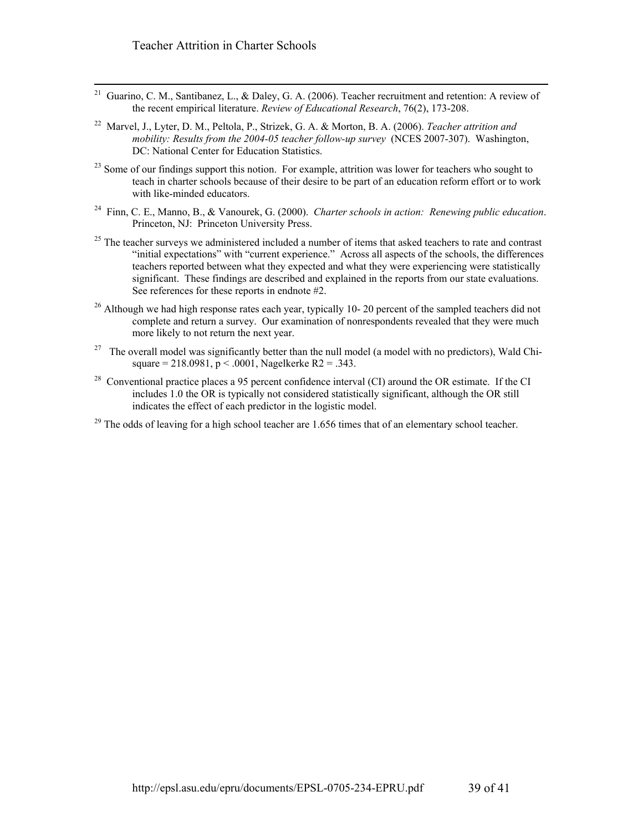- 21 Guarino, C. M., Santibanez, L., & Daley, G. A. (2006). Teacher recruitment and retention: A review of the recent empirical literature. *Review of Educational Research*, 76(2), 173-208.
- 22 Marvel, J., Lyter, D. M., Peltola, P., Strizek, G. A. & Morton, B. A. (2006). *Teacher attrition and mobility: Results from the 2004-05 teacher follow-up survey* (NCES 2007-307). Washington, DC: National Center for Education Statistics.
- $^{23}$  Some of our findings support this notion. For example, attrition was lower for teachers who sought to teach in charter schools because of their desire to be part of an education reform effort or to work with like-minded educators.
- 24 Finn, C. E., Manno, B., & Vanourek, G. (2000). *Charter schools in action: Renewing public education*. Princeton, NJ: Princeton University Press.
- <sup>25</sup> The teacher surveys we administered included a number of items that asked teachers to rate and contrast "initial expectations" with "current experience." Across all aspects of the schools, the differences teachers reported between what they expected and what they were experiencing were statistically significant. These findings are described and explained in the reports from our state evaluations. See references for these reports in endnote #2.
- <sup>26</sup> Although we had high response rates each year, typically 10-20 percent of the sampled teachers did not complete and return a survey. Our examination of nonrespondents revealed that they were much more likely to not return the next year.
- <sup>27</sup> The overall model was significantly better than the null model (a model with no predictors), Wald Chisquare =  $218.0981$ , p < .0001, Nagelkerke R2 = .343.
- <sup>28</sup> Conventional practice places a 95 percent confidence interval (CI) around the OR estimate. If the CI includes 1.0 the OR is typically not considered statistically significant, although the OR still indicates the effect of each predictor in the logistic model.
- <sup>29</sup> The odds of leaving for a high school teacher are 1.656 times that of an elementary school teacher.